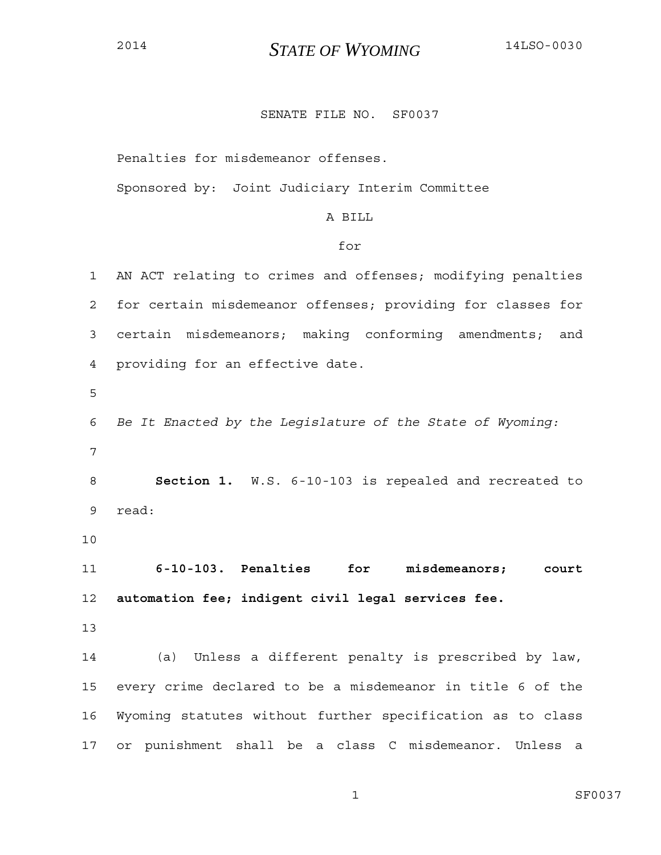## SENATE FILE NO. SF0037

Penalties for misdemeanor offenses.

Sponsored by: Joint Judiciary Interim Committee

## A BILL

#### for

1 AN ACT relating to crimes and offenses; modifying penalties 2 for certain misdemeanor offenses; providing for classes for 3 certain misdemeanors; making conforming amendments; and 4 providing for an effective date. 5 6 *Be It Enacted by the Legislature of the State of Wyoming:* 7 8 **Section 1.** W.S. 6-10-103 is repealed and recreated to 9 read: 10 11 **6-10-103. Penalties for misdemeanors; court**  12 **automation fee; indigent civil legal services fee.**  13 14 (a) Unless a different penalty is prescribed by law, 15 every crime declared to be a misdemeanor in title 6 of the 16 Wyoming statutes without further specification as to class 17 or punishment shall be a class C misdemeanor. Unless a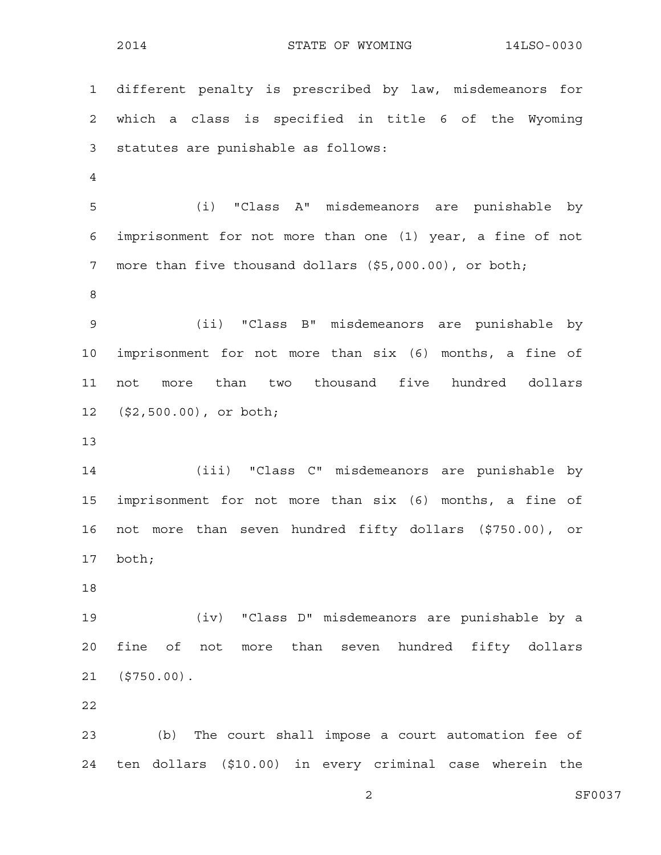1 different penalty is prescribed by law, misdemeanors for 2 which a class is specified in title 6 of the Wyoming 3 statutes are punishable as follows: 4 5 (i) "Class A" misdemeanors are punishable by 6 imprisonment for not more than one (1) year, a fine of not 7 more than five thousand dollars (\$5,000.00), or both; 8 9 (ii) "Class B" misdemeanors are punishable by 10 imprisonment for not more than six (6) months, a fine of 11 not more than two thousand five hundred dollars 12 (\$2,500.00), or both; 13 14 (iii) "Class C" misdemeanors are punishable by 15 imprisonment for not more than six (6) months, a fine of 16 not more than seven hundred fifty dollars (\$750.00), or 17 both; 18 19 (iv) "Class D" misdemeanors are punishable by a 20 fine of not more than seven hundred fifty dollars 21 (\$750.00). 22

23 (b) The court shall impose a court automation fee of 24 ten dollars (\$10.00) in every criminal case wherein the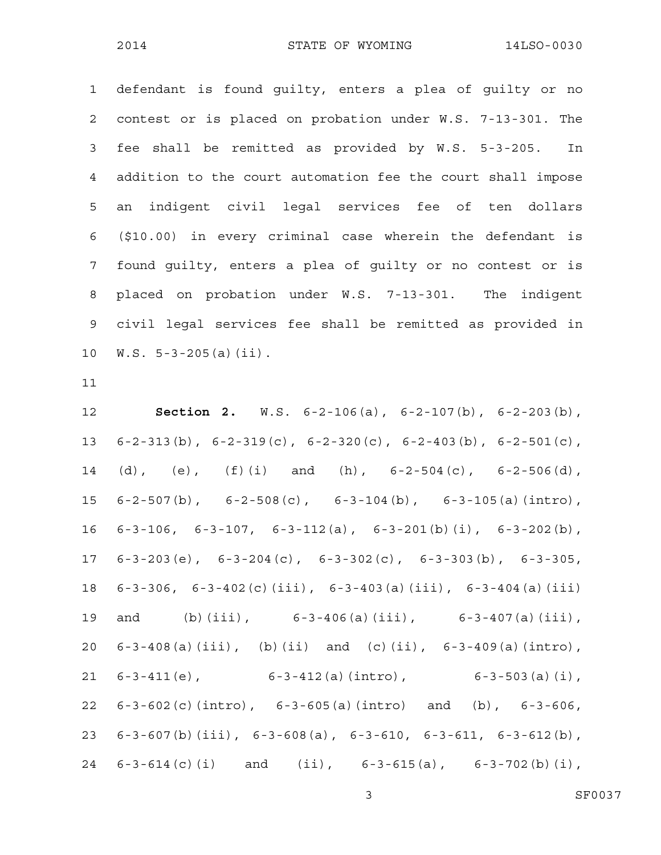1 defendant is found guilty, enters a plea of guilty or no 2 contest or is placed on probation under W.S. 7-13-301. The 3 fee shall be remitted as provided by W.S. 5-3-205. In 4 addition to the court automation fee the court shall impose 5 an indigent civil legal services fee of ten dollars 6 (\$10.00) in every criminal case wherein the defendant is 7 found guilty, enters a plea of guilty or no contest or is 8 placed on probation under W.S. 7-13-301. The indigent 9 civil legal services fee shall be remitted as provided in 10 W.S. 5-3-205(a)(ii).

11

12 **Section 2.** W.S. 6-2-106(a), 6-2-107(b), 6-2-203(b), 13 6-2-313(b), 6-2-319(c), 6-2-320(c), 6-2-403(b), 6-2-501(c), 14 (d), (e),  $(f)(i)$  and (h),  $6-2-504(c)$ ,  $6-2-506(d)$ , 15 6-2-507(b), 6-2-508(c), 6-3-104(b), 6-3-105(a)(intro), 16 6-3-106, 6-3-107, 6-3-112(a), 6-3-201(b)(i), 6-3-202(b), 17 6-3-203(e), 6-3-204(c), 6-3-302(c), 6-3-303(b), 6-3-305, 18 6-3-306, 6-3-402(c)(iii), 6-3-403(a)(iii), 6-3-404(a)(iii) 19 and (b)(iii), 6-3-406(a)(iii), 6-3-407(a)(iii), 20 6-3-408(a)(iii), (b)(ii) and (c)(ii), 6-3-409(a)(intro), 21 6-3-411(e), 6-3-412(a)(intro), 6-3-503(a)(i), 22 6-3-602(c)(intro), 6-3-605(a)(intro) and (b), 6-3-606, 23 6-3-607(b)(iii), 6-3-608(a), 6-3-610, 6-3-611, 6-3-612(b), 24 6-3-614(c)(i) and (ii), 6-3-615(a), 6-3-702(b)(i),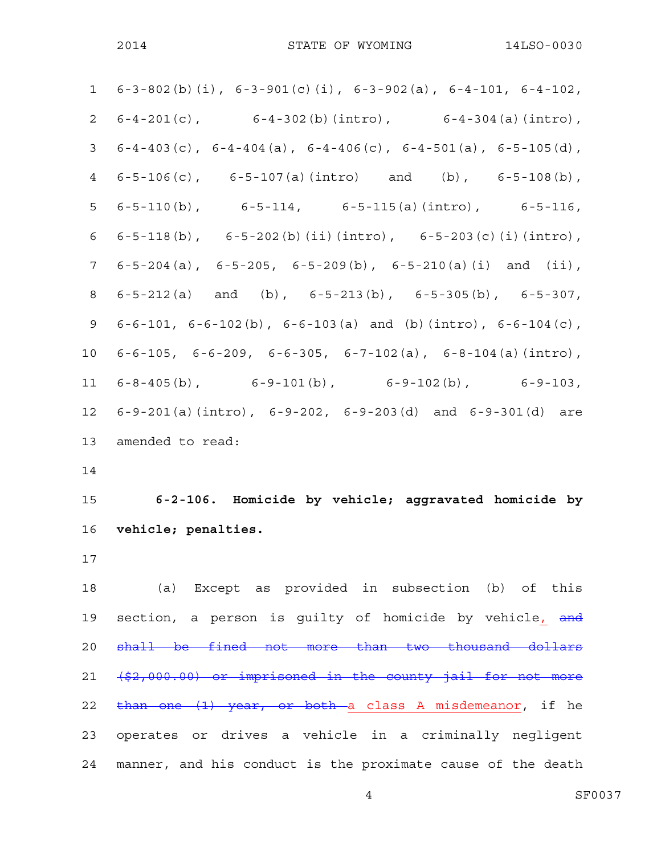|                | 1 $6-3-802$ (b) (i), $6-3-901$ (c) (i), $6-3-902$ (a), $6-4-101$ , $6-4-102$ , |
|----------------|--------------------------------------------------------------------------------|
|                | 2 $6-4-201(c)$ , $6-4-302(b) (intro)$ , $6-4-304(a) (intro)$ ,                 |
| 3 <sup>7</sup> | $6-4-403$ (c), $6-4-404$ (a), $6-4-406$ (c), $6-4-501$ (a), $6-5-105$ (d),     |
|                | 4 $6-5-106(c)$ , $6-5-107(a) (intro)$ and (b), $6-5-108(b)$ ,                  |
|                | $5 \t 6-5-110(b)$ , $6-5-114$ , $6-5-115(a) (intro)$ , $6-5-116$ ,             |
|                | 6 $6-5-118(b)$ , $6-5-202(b) (ii) (intro)$ , $6-5-203(c) (i) (intro)$ ,        |
|                | 7 $6-5-204(a)$ , $6-5-205$ , $6-5-209(b)$ , $6-5-210(a)(i)$ and $(ii)$ ,       |
| 8              | $6-5-212(a)$ and (b), $6-5-213(b)$ , $6-5-305(b)$ , $6-5-307$ ,                |
| 9              | 6-6-101, 6-6-102(b), 6-6-103(a) and (b)(intro), 6-6-104(c),                    |
| 10             | $6-6-105$ , $6-6-209$ , $6-6-305$ , $6-7-102$ (a), $6-8-104$ (a) (intro),      |
| 11             | $6-8-405$ (b), $6-9-101$ (b), $6-9-102$ (b), $6-9-103$ ,                       |
| 12             | 6-9-201(a)(intro), $6-9-202$ , $6-9-203$ (d) and $6-9-301$ (d) are             |
|                | 13 amended to read:                                                            |
|                |                                                                                |

14

15 **6-2-106. Homicide by vehicle; aggravated homicide by**  16 **vehicle; penalties.** 

17

18 (a) Except as provided in subsection (b) of this 19 section, a person is guilty of homicide by vehicle, and 20 shall be fined not more than two thousand dollars 21 (\$2,000.00) or imprisoned in the county jail for not more 22 than one (1) year, or both a class A misdemeanor, if he 23 operates or drives a vehicle in a criminally negligent 24 manner, and his conduct is the proximate cause of the death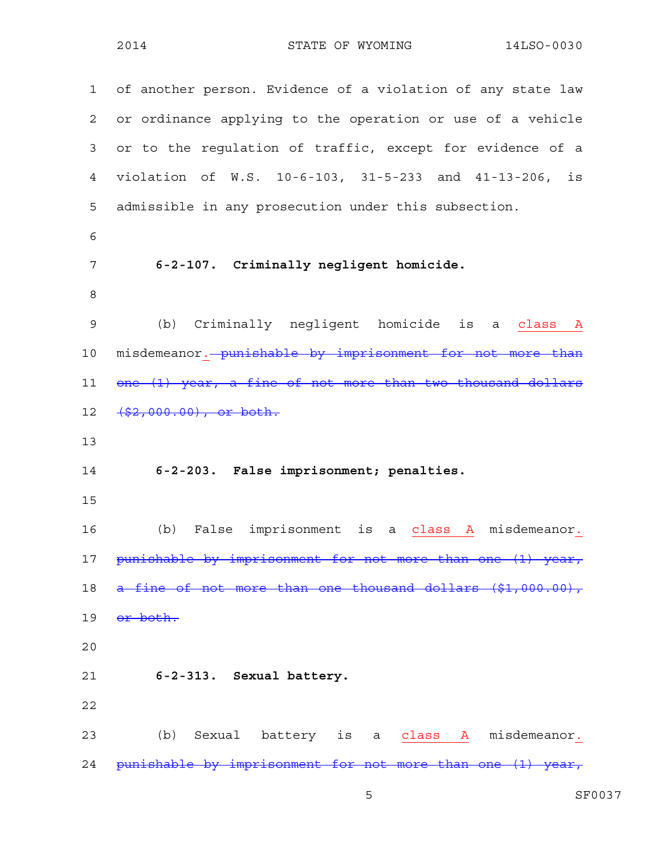1 of another person. Evidence of a violation of any state law 2 or ordinance applying to the operation or use of a vehicle 3 or to the regulation of traffic, except for evidence of a 4 violation of W.S. 10-6-103, 31-5-233 and 41-13-206, is 5 admissible in any prosecution under this subsection. 6 7 **6-2-107. Criminally negligent homicide.**  8 9 (b) Criminally negligent homicide is a class A 10 misdemeanor. punishable by imprisonment for not more than 11 one (1) year, a fine of not more than two thousand dollars 12 (\$2,000.00), or both. 13 14 **6-2-203. False imprisonment; penalties.**  15 16 (b) False imprisonment is a class A misdemeanor. 17 punishable by imprisonment for not more than one (1) year, 18 a fine of not more than one thousand dollars (\$1,000.00), 19 or both. 20 21 **6-2-313. Sexual battery.**  22 23 (b) Sexual battery is a class A misdemeanor. 24 punishable by imprisonment for not more than one (1) year,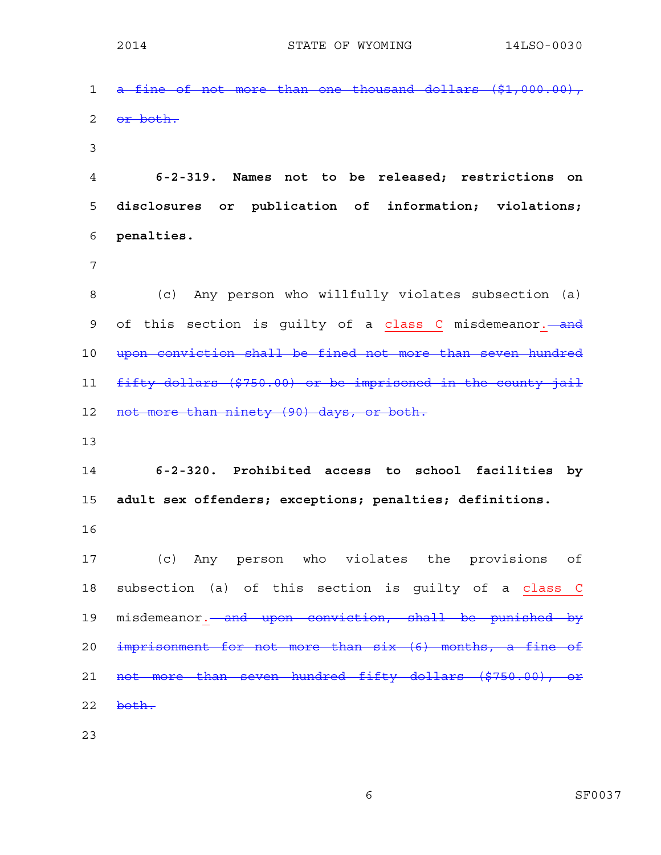1 a fine of not more than one thousand dollars (\$1,000.00), 2 or both. 3 4 **6-2-319. Names not to be released; restrictions on**  5 **disclosures or publication of information; violations;**  6 **penalties.**  7 8 (c) Any person who willfully violates subsection (a) 9 of this section is guilty of a class C misdemeanor. and 10 upon conviction shall be fined not more than seven hundred 11 fifty dollars (\$750.00) or be imprisoned in the county jail 12 not more than ninety (90) days, or both. 13 14 **6-2-320. Prohibited access to school facilities by**  15 **adult sex offenders; exceptions; penalties; definitions.**  16 17 (c) Any person who violates the provisions of 18 subsection (a) of this section is guilty of a class C 19 misdemeanor. and upon conviction, shall be punished by 20 imprisonment for not more than six (6) months, a fine of 21 not more than seven hundred fifty dollars (\$750.00), or  $22$  both. 23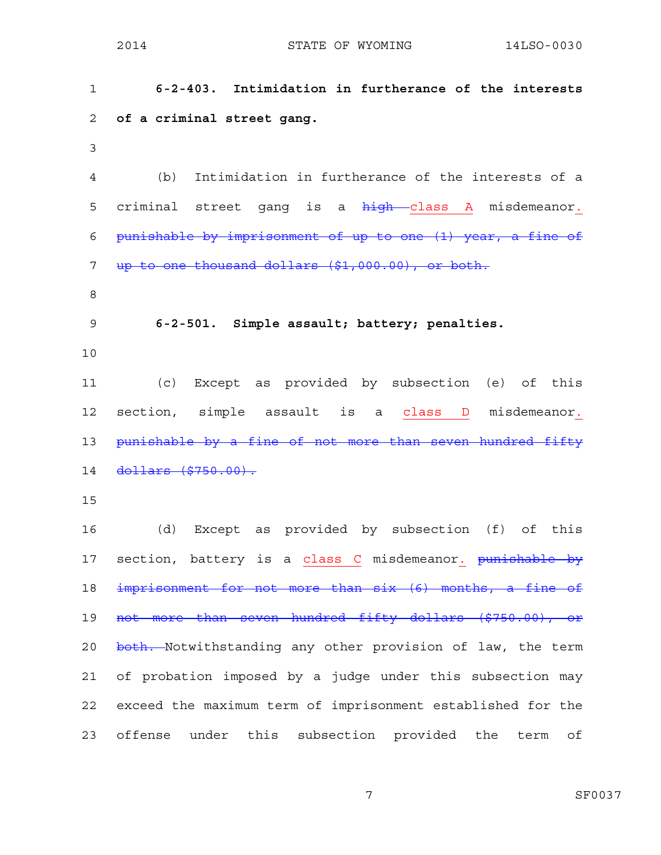2014 STATE OF WYOMING 14LSO-0030 1 **6-2-403. Intimidation in furtherance of the interests**  2 **of a criminal street gang.**  3 4 (b) Intimidation in furtherance of the interests of a 5 criminal street gang is a high class A misdemeanor. 6 punishable by imprisonment of up to one (1) year, a fine of 7 up to one thousand dollars (\$1,000.00), or both. 8 9 **6-2-501. Simple assault; battery; penalties.**  10 11 (c) Except as provided by subsection (e) of this 12 section, simple assault is a class D misdemeanor. 13 punishable by a fine of not more than seven hundred fifty 14 dollars (\$750.00). 15 16 (d) Except as provided by subsection (f) of this 17 section, battery is a class C misdemeanor. punishable by 18 imprisonment for not more than six (6) months, a fine of 19 not more than seven hundred fifty dollars (\$750.00), or 20 both. Notwithstanding any other provision of law, the term 21 of probation imposed by a judge under this subsection may

23 offense under this subsection provided the term of

22 exceed the maximum term of imprisonment established for the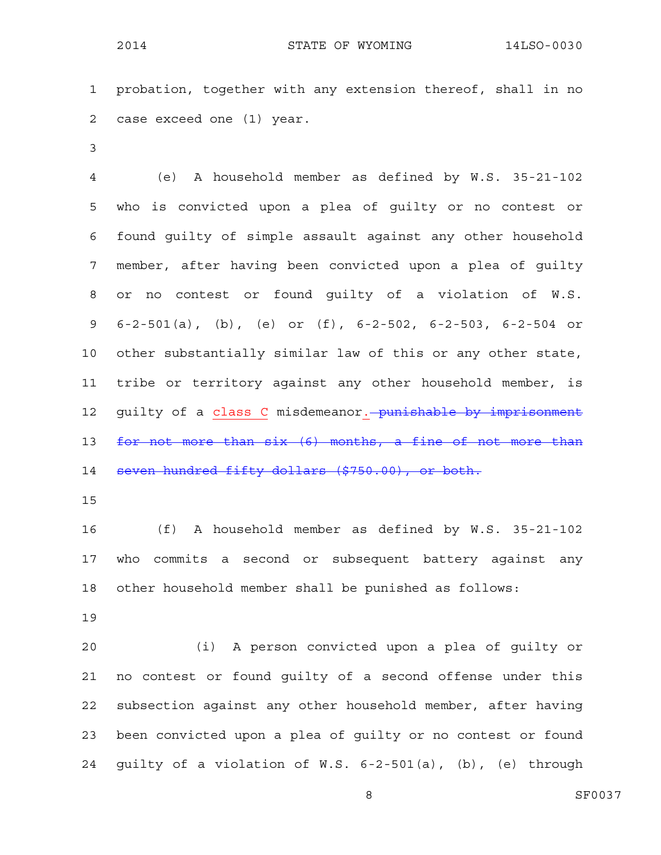1 probation, together with any extension thereof, shall in no 2 case exceed one (1) year.

3

4 (e) A household member as defined by W.S. 35-21-102 5 who is convicted upon a plea of guilty or no contest or 6 found guilty of simple assault against any other household 7 member, after having been convicted upon a plea of guilty 8 or no contest or found guilty of a violation of W.S. 9 6-2-501(a), (b), (e) or (f), 6-2-502, 6-2-503, 6-2-504 or 10 other substantially similar law of this or any other state, 11 tribe or territory against any other household member, is 12 guilty of a class C misdemeanor. punishable by imprisonment 13 for not more than six (6) months, a fine of not more than 14 seven hundred fifty dollars (\$750.00), or both.

15

16 (f) A household member as defined by W.S. 35-21-102 17 who commits a second or subsequent battery against any 18 other household member shall be punished as follows:

19

20 (i) A person convicted upon a plea of guilty or 21 no contest or found guilty of a second offense under this 22 subsection against any other household member, after having 23 been convicted upon a plea of guilty or no contest or found 24 guilty of a violation of W.S. 6-2-501(a), (b), (e) through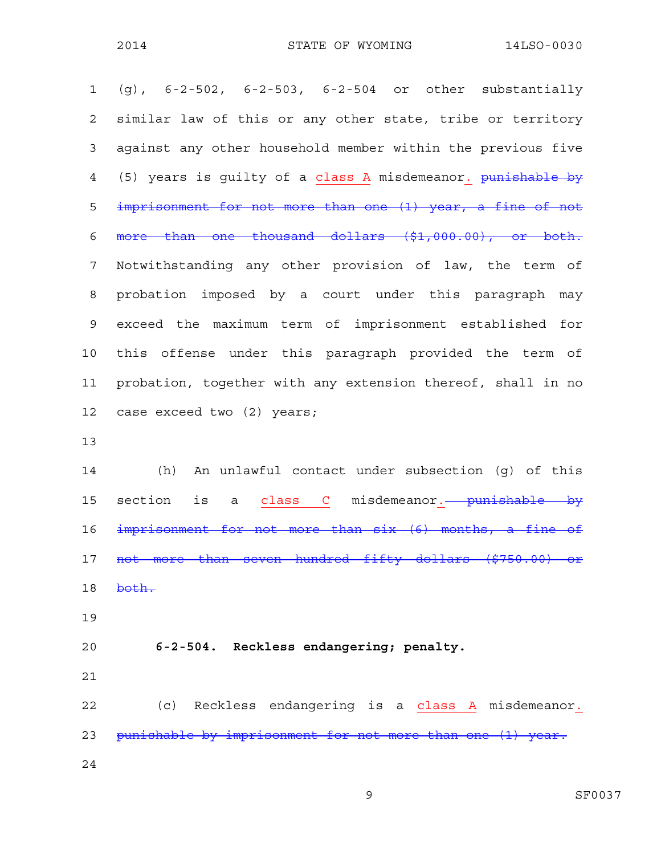1 (g), 6-2-502, 6-2-503, 6-2-504 or other substantially 2 similar law of this or any other state, tribe or territory 3 against any other household member within the previous five 4 (5) years is guilty of a class A misdemeanor. punishable by 5 imprisonment for not more than one (1) year, a fine of not 6 more than one thousand dollars (\$1,000.00), or both. 7 Notwithstanding any other provision of law, the term of 8 probation imposed by a court under this paragraph may 9 exceed the maximum term of imprisonment established for 10 this offense under this paragraph provided the term of 11 probation, together with any extension thereof, shall in no 12 case exceed two (2) years; 13

14 (h) An unlawful contact under subsection (g) of this 15 section is a class C misdemeanor.<del> punishable by</del> 16 imprisonment for not more than six (6) months, a fine of 17 not more than seven hundred fifty dollars (\$750.00) or 18 both.

19

### 20 **6-2-504. Reckless endangering; penalty.**

21

22 (c) Reckless endangering is a class A misdemeanor. 23 punishable by imprisonment for not more than one (1) year. 24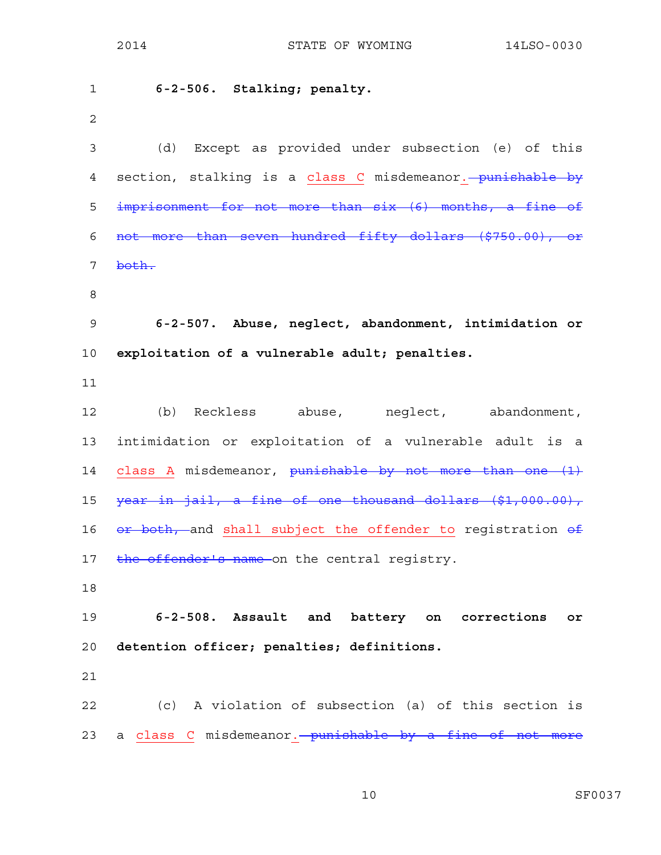1 **6-2-506. Stalking; penalty.**  2 3 (d) Except as provided under subsection (e) of this 4 section, stalking is a class C misdemeanor. punishable by 5 imprisonment for not more than six (6) months, a fine of 6 not more than seven hundred fifty dollars (\$750.00), or 7 <del>both.</del> 8 9 **6-2-507. Abuse, neglect, abandonment, intimidation or**  10 **exploitation of a vulnerable adult; penalties.**  11 12 (b) Reckless abuse, neglect, abandonment, 13 intimidation or exploitation of a vulnerable adult is a 14 class A misdemeanor, punishable by not more than one (1) 15 year in jail, a fine of one thousand dollars (\$1,000.00), 16  $or$  both, and shall subject the offender to registration  $ef$ 17 the offender's name on the central registry. 18 19 **6-2-508. Assault and battery on corrections or**  20 **detention officer; penalties; definitions.**  21 22 (c) A violation of subsection (a) of this section is 23 a class C misdemeanor. punishable by a fine of not more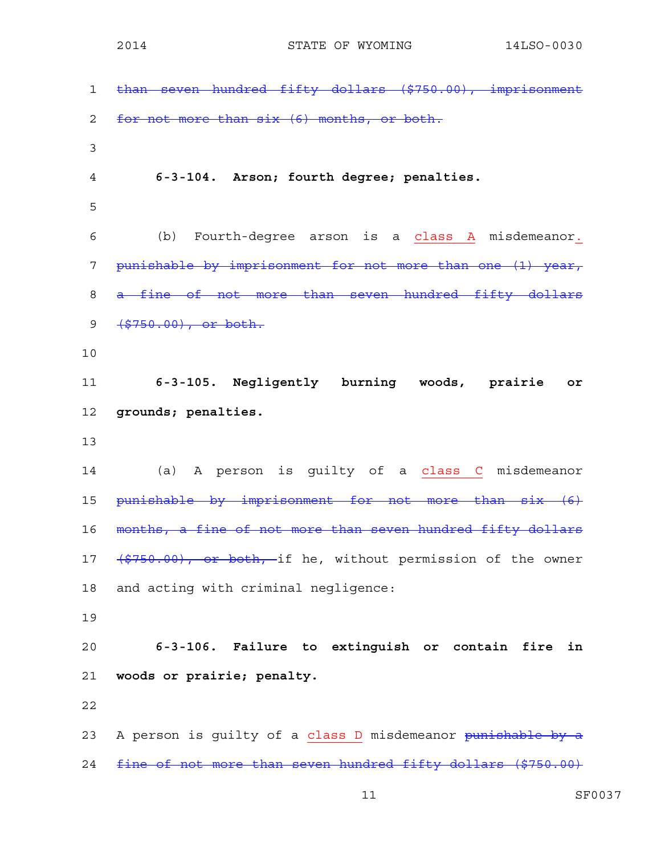1 than seven hundred fifty dollars (\$750.00), imprisonment 2 for not more than six (6) months, or both. 3 4 **6-3-104. Arson; fourth degree; penalties.**  5 6 (b) Fourth-degree arson is a class A misdemeanor. 7 punishable by imprisonment for not more than one (1) year, 8 a fine of not more than seven hundred fifty dollars 9 (\$750.00), or both. 10 11 **6-3-105. Negligently burning woods, prairie or**  12 **grounds; penalties.**  13 14 (a) A person is guilty of a class C misdemeanor 15 punishable by imprisonment for not more than six (6) 16 months, a fine of not more than seven hundred fifty dollars 17 (\$750.00), or both, if he, without permission of the owner 18 and acting with criminal negligence: 19 20 **6-3-106. Failure to extinguish or contain fire in**  21 **woods or prairie; penalty.**  22 23 A person is guilty of a class D misdemeanor punishable by a 24 fine of not more than seven hundred fifty dollars (\$750.00)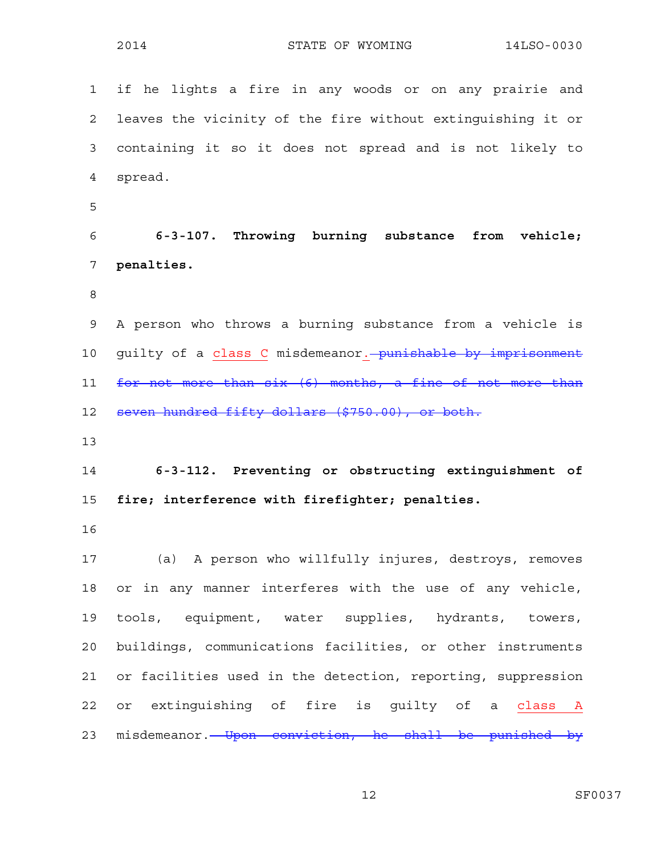1 if he lights a fire in any woods or on any prairie and 2 leaves the vicinity of the fire without extinguishing it or 3 containing it so it does not spread and is not likely to 4 spread. 5 6 **6-3-107. Throwing burning substance from vehicle;**  7 **penalties.**  8 9 A person who throws a burning substance from a vehicle is 10 guilty of a class C misdemeanor. punishable by imprisonment 11 for not more than six (6) months, a fine of not more than 12 seven hundred fifty dollars (\$750.00), or both. 13 14 **6-3-112. Preventing or obstructing extinguishment of**  15 **fire; interference with firefighter; penalties.**  16 17 (a) A person who willfully injures, destroys, removes 18 or in any manner interferes with the use of any vehicle, 19 tools, equipment, water supplies, hydrants, towers, 20 buildings, communications facilities, or other instruments 21 or facilities used in the detection, reporting, suppression 22 or extinguishing of fire is quilty of a class A 23 misdemeanor. Upon conviction, he shall be punished by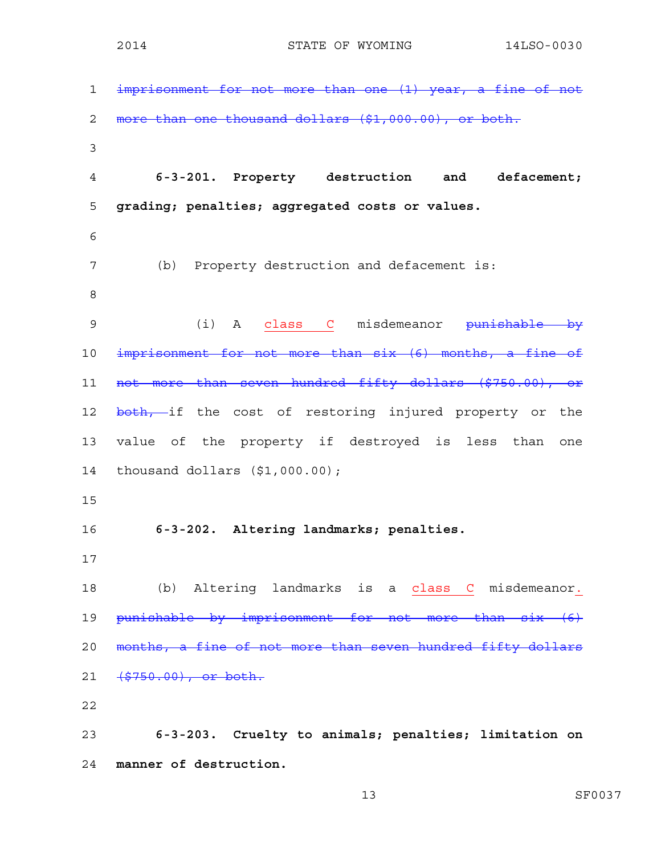1 imprisonment for not more than one (1) year, a fine of not 2 more than one thousand dollars (\$1,000.00), or both. 3 4 **6-3-201. Property destruction and defacement;**  5 **grading; penalties; aggregated costs or values.**  6 7 (b) Property destruction and defacement is: 8 9 (i) A class C misdemeanor punishable by 10 imprisonment for not more than six (6) months, a fine of 11 not more than seven hundred fifty dollars (\$750.00), or 12 both, if the cost of restoring injured property or the 13 value of the property if destroyed is less than one 14 thousand dollars (\$1,000.00); 15 16 **6-3-202. Altering landmarks; penalties.**  17 18 (b) Altering landmarks is a class C misdemeanor. 19 punishable by imprisonment for not more than six (6) 20 months, a fine of not more than seven hundred fifty dollars 21 (\$750.00), or both. 22 23 **6-3-203. Cruelty to animals; penalties; limitation on**  24 **manner of destruction.**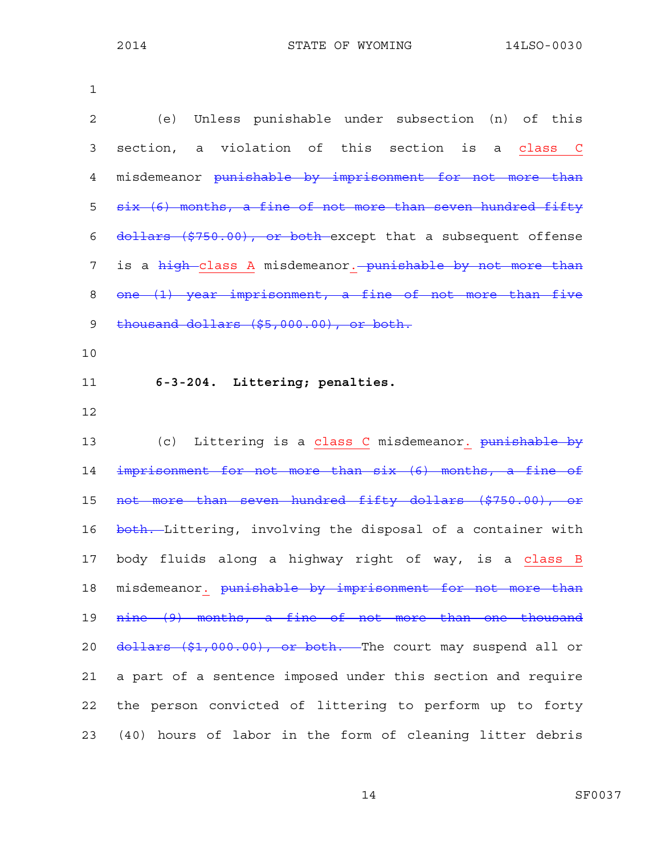| $\mathbf 1$    |                                                              |
|----------------|--------------------------------------------------------------|
| $\overline{c}$ | Unless punishable under subsection (n) of this<br>(e)        |
| 3              | section, a violation of this section<br>is a class C         |
| 4              | misdemeanor punishable by imprisonment for not more than     |
| 5              | six (6) months, a fine of not more than seven hundred fifty  |
| 6              | dollars (\$750.00), or both except that a subsequent offense |
| 7              | is a high-class A misdemeanor. - punishable by not more than |
| 8              | one (1) year imprisonment, a fine of not more than five      |
| 9              | thousand dollars (\$5,000.00), or both.                      |
| 10             |                                                              |
| 11             | 6-3-204. Littering; penalties.                               |
| 12             |                                                              |
| 13             | (c) Littering is a class C misdemeanor. punishable by        |
| 14             | imprisonment for not more than six (6) months, a fine of     |
| 15             | not more than seven hundred fifty dollars (\$750.00), or     |
| 16             | both. Littering, involving the disposal of a container with  |
| 17             | body fluids along a highway right of way, is a class B       |
| 18             | misdemeanor. punishable by imprisonment for not more than    |
| 19             | nine (9) months, a fine of not more than one thousand        |
| 20             | dollars (\$1,000.00), or both. The court may suspend all or  |
| 21             | a part of a sentence imposed under this section and require  |
| 22             | the person convicted of littering to perform up to forty     |
| 23             | (40) hours of labor in the form of cleaning litter debris    |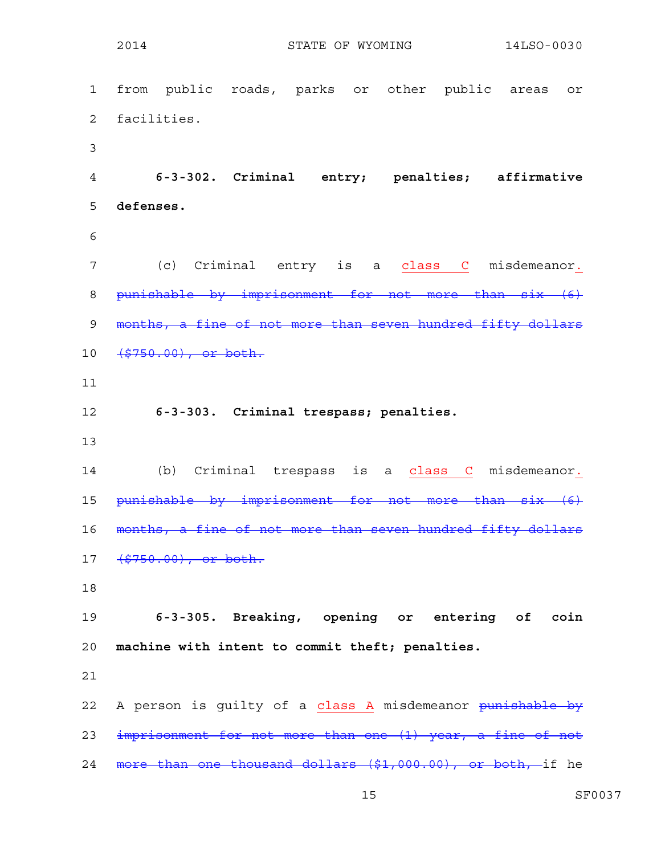1 from public roads, parks or other public areas or 2 facilities. 3 4 **6-3-302. Criminal entry; penalties; affirmative**  5 **defenses.**  6 7 (c) Criminal entry is a class C misdemeanor. 8 punishable by imprisonment for not more than six (6) 9 months, a fine of not more than seven hundred fifty dollars 10 <del>(\$750.00), or both.</del> 11 12 **6-3-303. Criminal trespass; penalties.**  13 14 (b) Criminal trespass is a class C misdemeanor. 15 punishable by imprisonment for not more than six (6) 16 months, a fine of not more than seven hundred fifty dollars 17 (\$750.00), or both. 18 19 **6-3-305. Breaking, opening or entering of coin**  20 **machine with intent to commit theft; penalties.**  21 22 A person is guilty of a class A misdemeanor punishable by 23 imprisonment for not more than one (1) year, a fine of not 24 more than one thousand dollars (\$1,000.00), or both, if he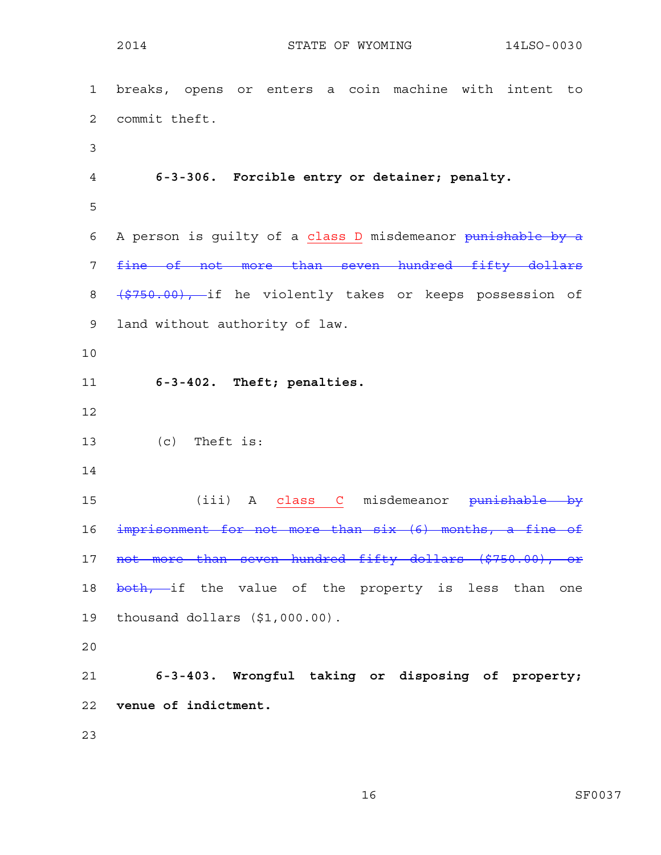1 breaks, opens or enters a coin machine with intent to 2 commit theft. 3 4 **6-3-306. Forcible entry or detainer; penalty.**  5 6 A person is quilty of a class D misdemeanor punishable by a 7 fine of not more than seven hundred fifty dollars 8 (\$750.00), if he violently takes or keeps possession of 9 land without authority of law. 10 11 **6-3-402. Theft; penalties.**  12 13 (c) Theft is: 14 15 (iii) A class C misdemeanor <del>punishable by</del> 16 imprisonment for not more than six (6) months, a fine of 17 not more than seven hundred fifty dollars (\$750.00), or 18 both, if the value of the property is less than one 19 thousand dollars (\$1,000.00). 20 21 **6-3-403. Wrongful taking or disposing of property;**  22 **venue of indictment.**  23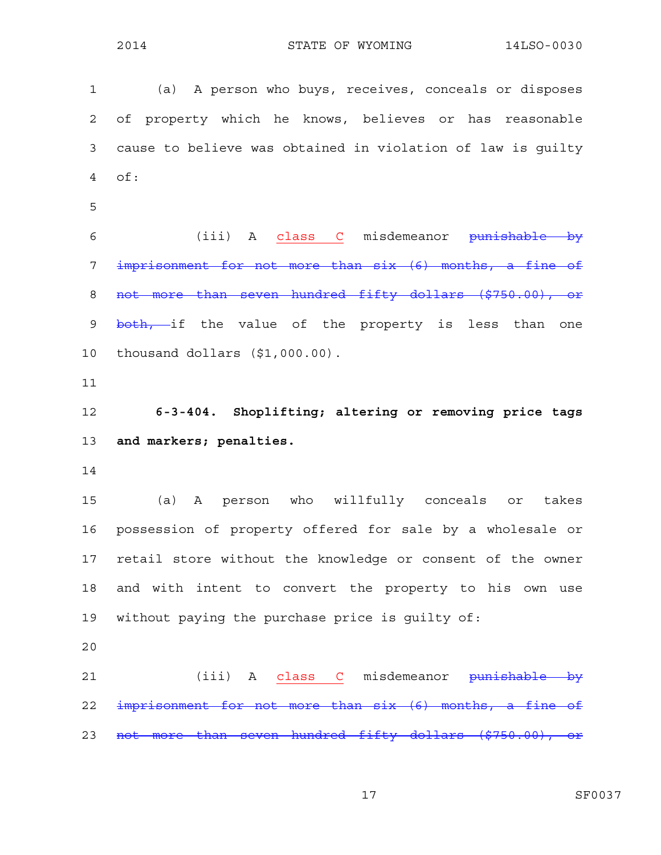1 (a) A person who buys, receives, conceals or disposes 2 of property which he knows, believes or has reasonable 3 cause to believe was obtained in violation of law is guilty 4 of: 5 6 (iii) A class C misdemeanor punishable by 7 imprisonment for not more than six (6) months, a fine of 8 not more than seven hundred fifty dollars (\$750.00), or 9 both, if the value of the property is less than one 10 thousand dollars (\$1,000.00). 11 12 **6-3-404. Shoplifting; altering or removing price tags**  13 **and markers; penalties.**  14 15 (a) A person who willfully conceals or takes 16 possession of property offered for sale by a wholesale or 17 retail store without the knowledge or consent of the owner 18 and with intent to convert the property to his own use 19 without paying the purchase price is guilty of: 20 21 (iii) A class C misdemeanor <del>punishable by</del> 22 imprisonment for not more than six (6) months, a fine of 23 not more than seven hundred fifty dollars (\$750.00), or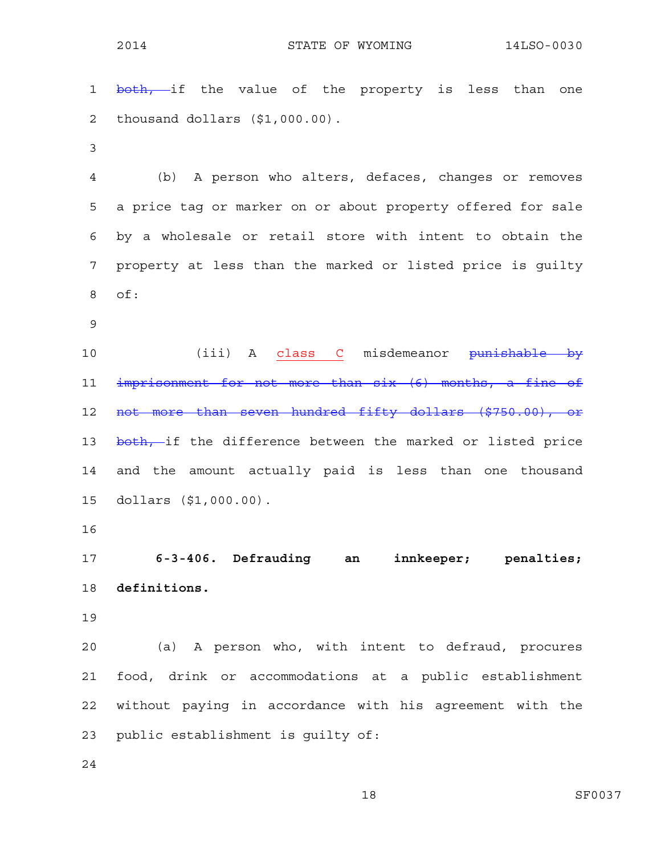1 both, if the value of the property is less than one 2 thousand dollars (\$1,000.00). 3 4 (b) A person who alters, defaces, changes or removes 5 a price tag or marker on or about property offered for sale 6 by a wholesale or retail store with intent to obtain the 7 property at less than the marked or listed price is guilty 8 of: 9 10 (iii) A class C misdemeanor <del>punishable by</del> 11 imprisonment for not more than six (6) months, a fine of 12 not more than seven hundred fifty dollars (\$750.00), or 13 both, if the difference between the marked or listed price 14 and the amount actually paid is less than one thousand 15 dollars (\$1,000.00). 16 17 **6-3-406. Defrauding an innkeeper; penalties;**  18 **definitions.**  19 20 (a) A person who, with intent to defraud, procures 21 food, drink or accommodations at a public establishment 22 without paying in accordance with his agreement with the

23 public establishment is guilty of:

24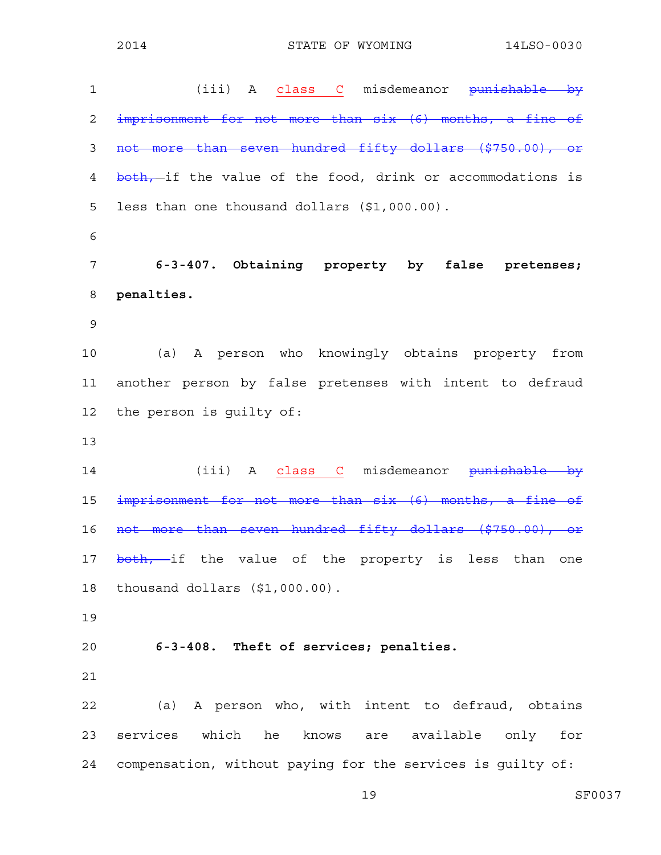1 (iii) A class C misdemeanor <del>punishable by</del> 2 imprisonment for not more than six (6) months, a fine of 3 not more than seven hundred fifty dollars (\$750.00), or 4 both, if the value of the food, drink or accommodations is 5 less than one thousand dollars (\$1,000.00). 6 7 **6-3-407. Obtaining property by false pretenses;**  8 **penalties.**  9 10 (a) A person who knowingly obtains property from 11 another person by false pretenses with intent to defraud 12 the person is guilty of: 13 14 (iii) A class C misdemeanor <del>punishable by</del> 15 imprisonment for not more than six (6) months, a fine of 16 not more than seven hundred fifty dollars (\$750.00), or 17 both, if the value of the property is less than one 18 thousand dollars (\$1,000.00). 19 20 **6-3-408. Theft of services; penalties.**  21 22 (a) A person who, with intent to defraud, obtains 23 services which he knows are available only for 24 compensation, without paying for the services is guilty of: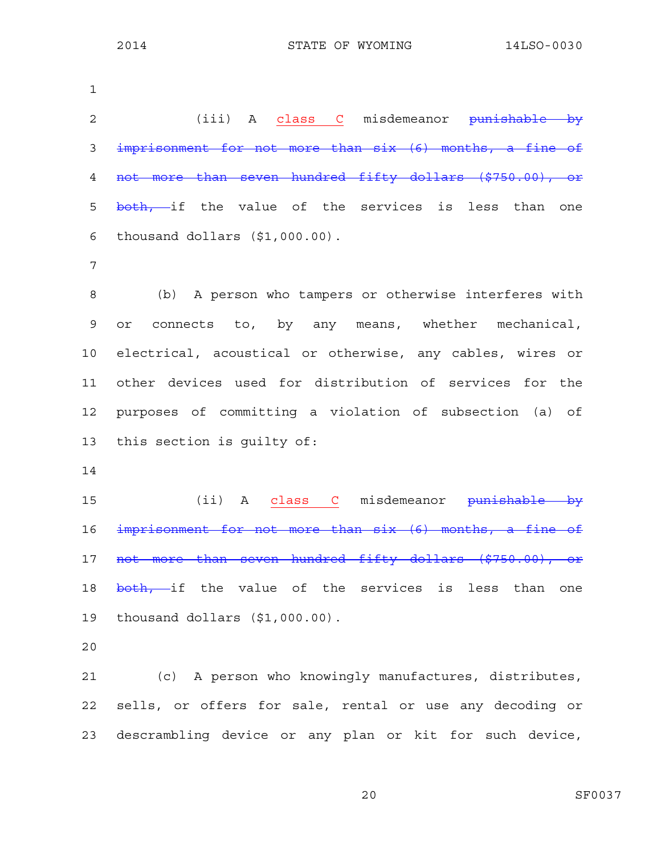| $\mathbf 1$ |                                                           |
|-------------|-----------------------------------------------------------|
| 2           | (iii) A class C misdemeanor <del>punishable by</del>      |
| 3           | imprisonment for not more than six (6) months, a fine of  |
| 4           | not more than seven hundred fifty dollars (\$750.00), or  |
| 5           | both, if the value of the services is less than one       |
| 6           | thousand dollars (\$1,000.00).                            |
| 7           |                                                           |
| 8           | (b) A person who tampers or otherwise interferes with     |
| 9           | connects to, by any means, whether mechanical,<br>or      |
| 10          | electrical, acoustical or otherwise, any cables, wires or |
| 11          | other devices used for distribution of services for the   |
| 12          | purposes of committing a violation of subsection (a) of   |
| 13          | this section is quilty of:                                |
| 14          |                                                           |
| 15          | (ii) A class C misdemeanor punishable by                  |
| 16          | imprisonment for not more than six (6) months, a fine of  |
| 17          | not more than seven hundred fifty dollars (\$750.00),     |
| 18          | both, if the value of the services is less than one       |
| 19          | thousand dollars (\$1,000.00).                            |
| 20          |                                                           |
| 21          | (c) A person who knowingly manufactures, distributes,     |
| 22          | sells, or offers for sale, rental or use any decoding or  |
| 23          | descrambling device or any plan or kit for such device,   |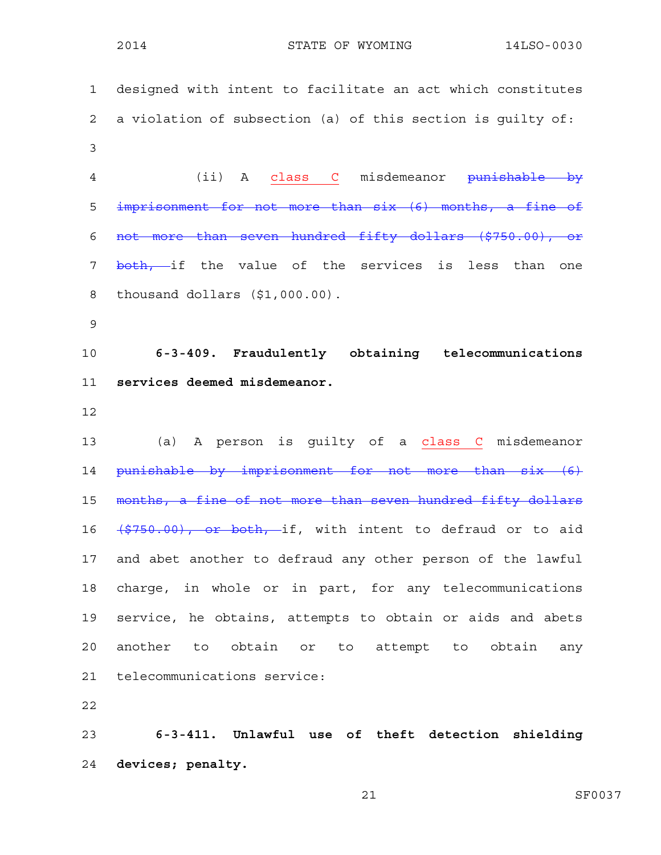1 designed with intent to facilitate an act which constitutes 2 a violation of subsection (a) of this section is guilty of: 3 4 (ii) A class C misdemeanor punishable by 5 imprisonment for not more than six (6) months, a fine of 6 not more than seven hundred fifty dollars (\$750.00), or 7 <del>both, i</del>f the value of the services is less than one 8 thousand dollars (\$1,000.00). 9 10 **6-3-409. Fraudulently obtaining telecommunications**  11 **services deemed misdemeanor.**  12 13 (a) A person is guilty of a class C misdemeanor 14 punishable by imprisonment for not more than six (6) 15 months, a fine of not more than seven hundred fifty dollars 16 (\$750.00), or both, if, with intent to defraud or to aid 17 and abet another to defraud any other person of the lawful 18 charge, in whole or in part, for any telecommunications 19 service, he obtains, attempts to obtain or aids and abets 20 another to obtain or to attempt to obtain any 21 telecommunications service:

22

23 **6-3-411. Unlawful use of theft detection shielding**  24 **devices; penalty.**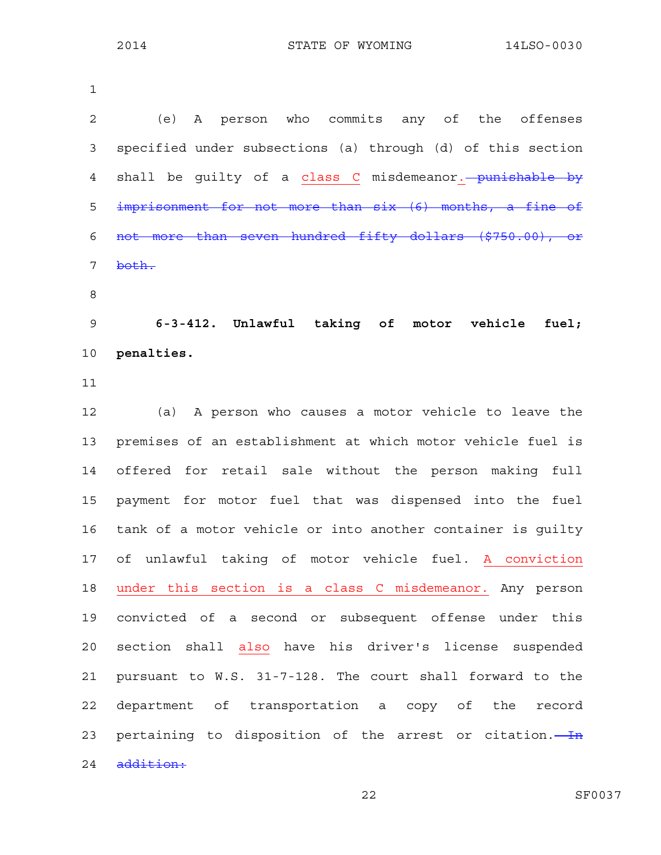| $\mathbf 1$    |                                                             |
|----------------|-------------------------------------------------------------|
| $\overline{a}$ | A person who commits any of the offenses<br>(e)             |
| 3              | specified under subsections (a) through (d) of this section |
| 4              | shall be guilty of a class C misdemeanor. - punishable by   |
| 5              | imprisonment for not more than six (6) months, a fine of    |
| 6              | not more than seven hundred fifty dollars (\$750.00), or    |
| 7              | both.                                                       |
| 8              |                                                             |
| $\mathsf 9$    | 6-3-412. Unlawful taking of motor vehicle fuel;             |
| 10             | penalties.                                                  |
| 11             |                                                             |
| 12             | (a) A person who causes a motor vehicle to leave the        |
| 13             | premises of an establishment at which motor vehicle fuel is |
| 14             | offered for retail sale without the person making full      |
| 15             | payment for motor fuel that was dispensed into the fuel     |
| 16             | tank of a motor vehicle or into another container is quilty |
| 17             | of unlawful taking of motor vehicle fuel. A conviction      |
| 18             | under this section is a class C misdemeanor. Any person     |
| 19             | convicted of a second or subsequent offense under this      |
| 20             | section shall also have his driver's license suspended      |
| 21             | pursuant to W.S. 31-7-128. The court shall forward to the   |
| 22             | department of transportation a copy of the<br>record        |
| 23             | pertaining to disposition of the arrest or citation.        |
| 24             | addition:                                                   |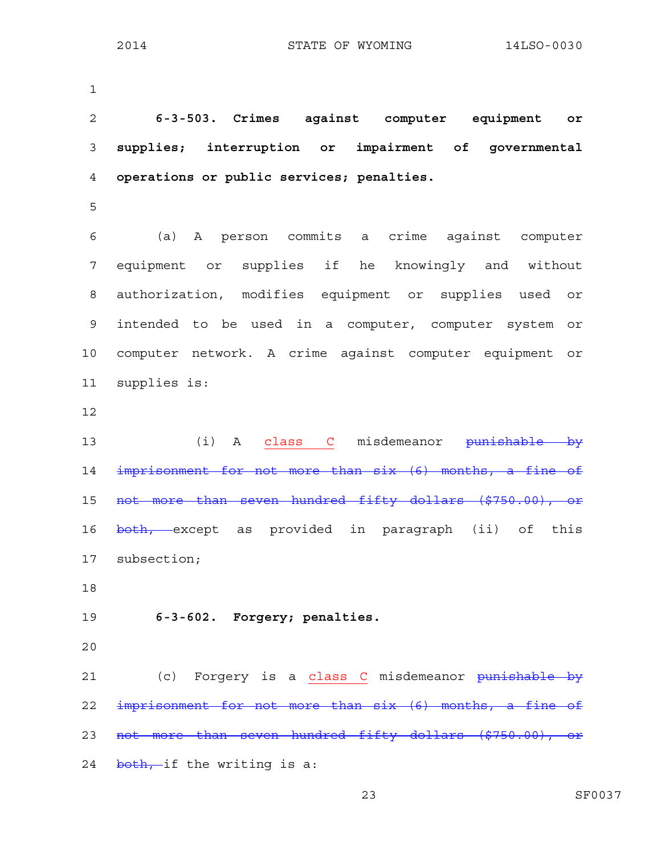1

2 **6-3-503. Crimes against computer equipment or**  3 **supplies; interruption or impairment of governmental**  4 **operations or public services; penalties.**  5 6 (a) A person commits a crime against computer 7 equipment or supplies if he knowingly and without 8 authorization, modifies equipment or supplies used or 9 intended to be used in a computer, computer system or 10 computer network. A crime against computer equipment or 11 supplies is: 12 13 (i) A class C misdemeanor <del>punishable by</del> 14 imprisonment for not more than six (6) months, a fine of 15 not more than seven hundred fifty dollars (\$750.00), or 16 both, except as provided in paragraph (ii) of this 17 subsection; 18 19 **6-3-602. Forgery; penalties.**  20 21 (c) Forgery is a class C misdemeanor punishable by 22 imprisonment for not more than six (6) months, a fine of 23 not more than seven hundred fifty dollars (\$750.00), or 24 both, if the writing is a: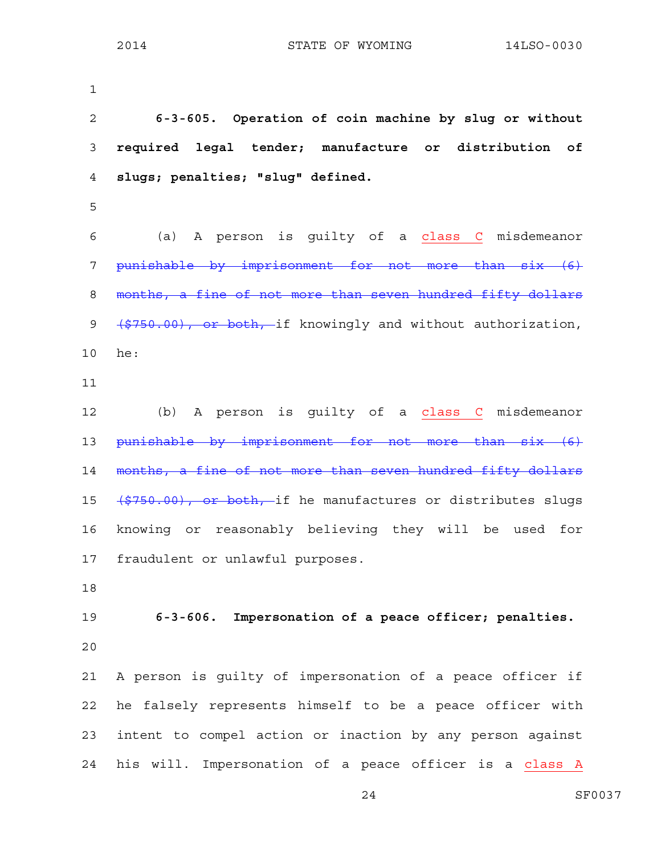1

2 **6-3-605. Operation of coin machine by slug or without**  3 **required legal tender; manufacture or distribution of**  4 **slugs; penalties; "slug" defined.**  5 6 (a) A person is guilty of a class C misdemeanor 7 punishable by imprisonment for not more than six (6) 8 months, a fine of not more than seven hundred fifty dollars 9 (\$750.00), or both, if knowingly and without authorization, 10 he: 11 12 (b) A person is guilty of a class C misdemeanor 13 punishable by imprisonment for not more than six (6) 14 months, a fine of not more than seven hundred fifty dollars 15 (\$750.00), or both, if he manufactures or distributes slugs 16 knowing or reasonably believing they will be used for 17 fraudulent or unlawful purposes. 18 19 **6-3-606. Impersonation of a peace officer; penalties.**  20 21 A person is guilty of impersonation of a peace officer if 22 he falsely represents himself to be a peace officer with 23 intent to compel action or inaction by any person against 24 his will. Impersonation of a peace officer is a class A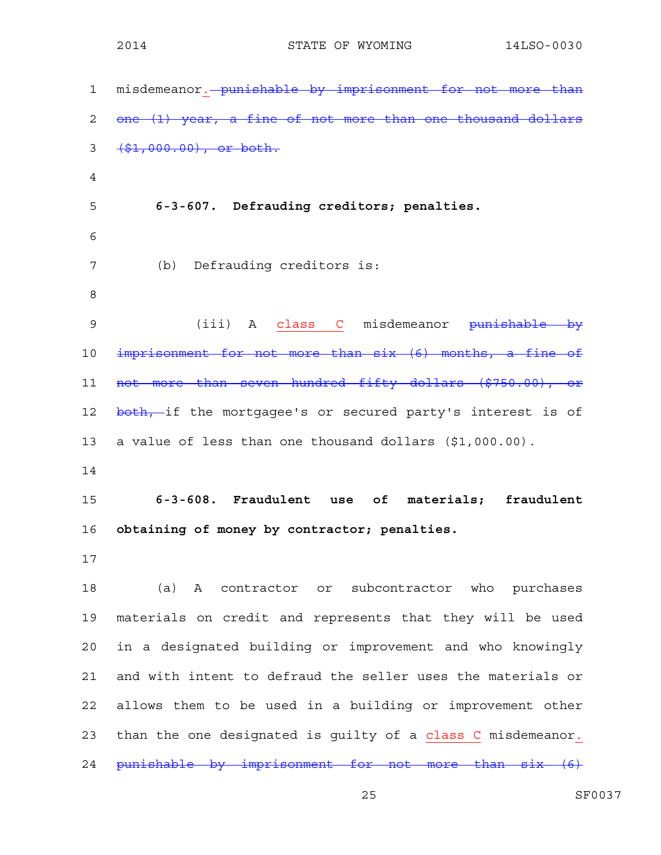| 1              | misdemeanor. - punishable by imprisonment for not more than |
|----------------|-------------------------------------------------------------|
| $\overline{c}$ | one (1) year, a fine of not more than one thousand dollars  |
| 3              | $( $1,000.00)$ , or both.                                   |
| 4              |                                                             |
| 5              | 6-3-607. Defrauding creditors; penalties.                   |
| 6              |                                                             |
| 7              | (b) Defrauding creditors is:                                |
| 8              |                                                             |
| 9              | (iii) A class C misdemeanor punishable by                   |
| 10             | imprisonment for not more than six (6) months, a fine of    |
| 11             | not more than seven hundred fifty dollars (\$750.00), or    |
| 12             | both, if the mortgagee's or secured party's interest is of  |
| 13             | a value of less than one thousand dollars (\$1,000.00).     |
| 14             |                                                             |
| 15             | 6-3-608. Fraudulent use of<br>materials; fraudulent         |
| 16             | obtaining of money by contractor; penalties.                |
| 17             |                                                             |
| 18             | (a) A contractor or subcontractor who purchases             |
| 19             | materials on credit and represents that they will be used   |
| 20             |                                                             |
|                | in a designated building or improvement and who knowingly   |
| 21             | and with intent to defraud the seller uses the materials or |
| 22             | allows them to be used in a building or improvement other   |
| 23             | than the one designated is guilty of a class C misdemeanor. |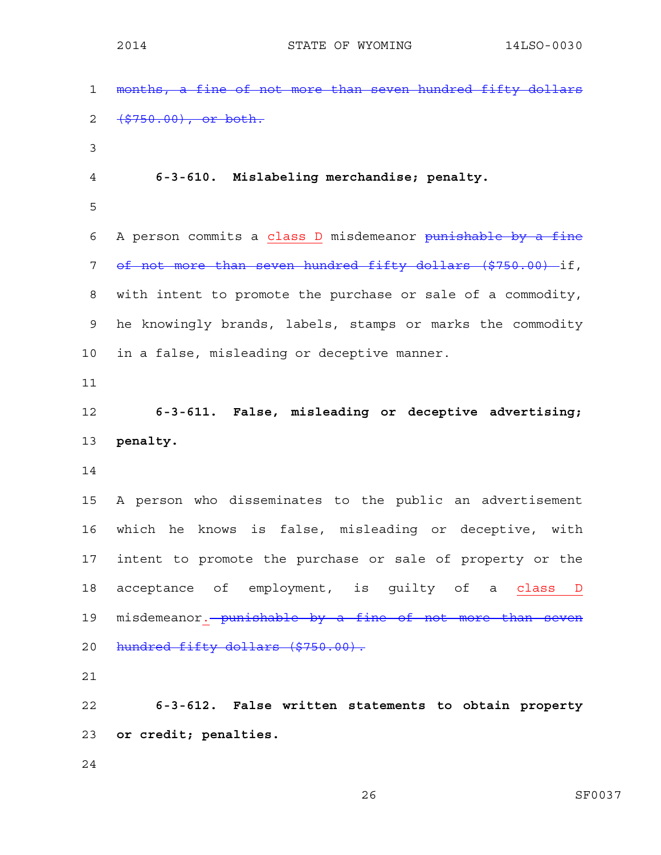1 months, a fine of not more than seven hundred fifty dollars 2 <del>(\$750.00), or both.</del> 3 4 **6-3-610. Mislabeling merchandise; penalty.**  5 6 A person commits a class D misdemeanor punishable by a fine 7 of not more than seven hundred fifty dollars (\$750.00) if, 8 with intent to promote the purchase or sale of a commodity, 9 he knowingly brands, labels, stamps or marks the commodity 10 in a false, misleading or deceptive manner. 11 12 **6-3-611. False, misleading or deceptive advertising;**  13 **penalty.**  14 15 A person who disseminates to the public an advertisement 16 which he knows is false, misleading or deceptive, with 17 intent to promote the purchase or sale of property or the 18 acceptance of employment, is quilty of a class D 19 misdemeanor. punishable by a fine of not more than seven 20 hundred fifty dollars (\$750.00). 21 22 **6-3-612. False written statements to obtain property**  23 **or credit; penalties.**  24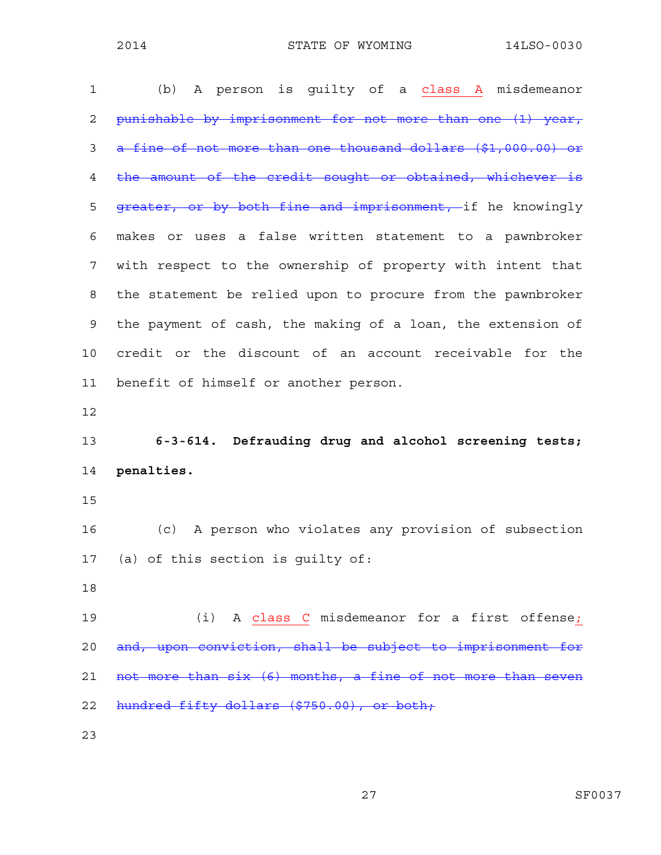| 1  | A person is quilty of a class A misdemeanor<br>(b)           |
|----|--------------------------------------------------------------|
| 2  | punishable by imprisonment for not more than one (1) year,   |
| 3  | a fine of not more than one thousand dollars (\$1,000.00) or |
| 4  | the amount of the credit sought or obtained, whichever is    |
| 5  | greater, or by both fine and imprisonment, if he knowingly   |
| 6  | makes or uses a false written statement to a pawnbroker      |
| 7  | with respect to the ownership of property with intent that   |
| 8  | the statement be relied upon to procure from the pawnbroker  |
| 9  | the payment of cash, the making of a loan, the extension of  |
| 10 | credit or the discount of an account receivable for the      |
| 11 | benefit of himself or another person.                        |
|    |                                                              |
| 12 |                                                              |
| 13 | 6-3-614. Defrauding drug and alcohol screening tests;        |
| 14 | penalties.                                                   |
| 15 |                                                              |
| 16 | A person who violates any provision of subsection<br>(c)     |
| 17 | (a) of this section is guilty of:                            |
| 18 |                                                              |
| 19 | (i) A class C misdemeanor for a first offense;               |
| 20 | and, upon conviction, shall be subject to imprisonment for   |
| 21 | not more than six (6) months, a fine of not more than seven  |
| 22 | hundred fifty dollars (\$750.00), or both;                   |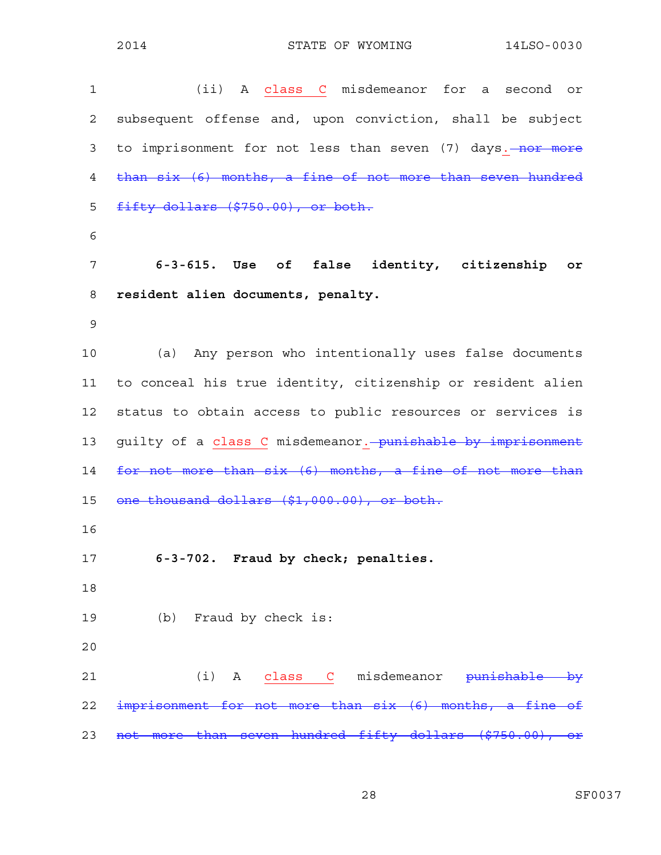1 (ii) A class C misdemeanor for a second or 2 subsequent offense and, upon conviction, shall be subject 3 to imprisonment for not less than seven (7) days. nor more 4 than six (6) months, a fine of not more than seven hundred 5 fifty dollars (\$750.00), or both. 6 7 **6-3-615. Use of false identity, citizenship or**  8 **resident alien documents, penalty.**  9 10 (a) Any person who intentionally uses false documents 11 to conceal his true identity, citizenship or resident alien 12 status to obtain access to public resources or services is 13 guilty of a class C misdemeanor. punishable by imprisonment 14 for not more than six (6) months, a fine of not more than 15 one thousand dollars (\$1,000.00), or both. 16 17 **6-3-702. Fraud by check; penalties.**  18 19 (b) Fraud by check is: 20 21 (i) A class C misdemeanor <del>punishable by</del> 22 imprisonment for not more than six (6) months, a fine of 23 not more than seven hundred fifty dollars (\$750.00), or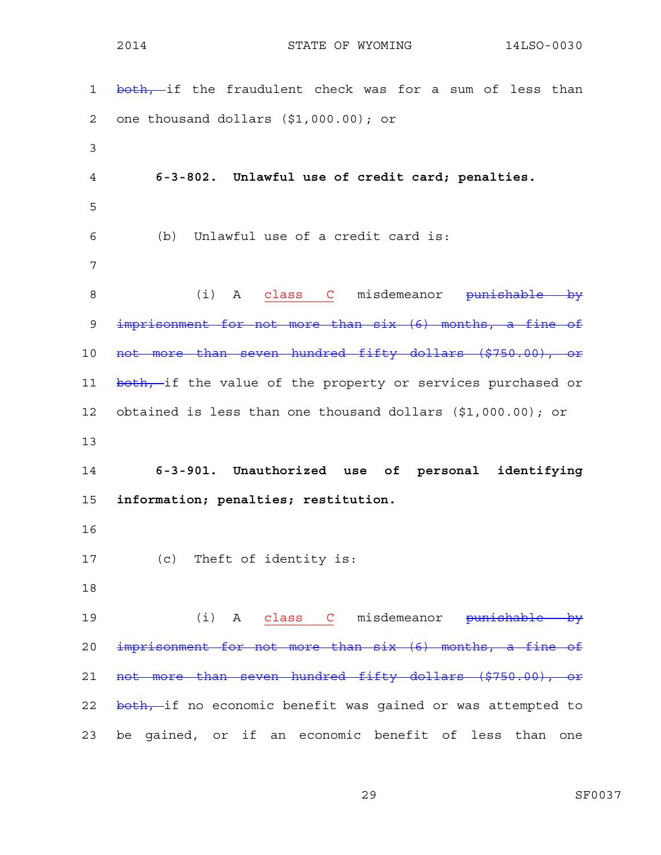1 both, if the fraudulent check was for a sum of less than 2 one thousand dollars (\$1,000.00); or 3 4 **6-3-802. Unlawful use of credit card; penalties.**  5 6 (b) Unlawful use of a credit card is: 7 8 (i) A class C misdemeanor <del>punishable by</del> 9 imprisonment for not more than six (6) months, a fine of 10 not more than seven hundred fifty dollars (\$750.00), or 11 both, if the value of the property or services purchased or 12 obtained is less than one thousand dollars (\$1,000.00); or 13 14 **6-3-901. Unauthorized use of personal identifying**  15 **information; penalties; restitution.**  16 17 (c) Theft of identity is: 18 19 (i) A class C misdemeanor <del>punishable by</del> 20 imprisonment for not more than six (6) months, a fine of 21 not more than seven hundred fifty dollars (\$750.00), or 22 both, if no economic benefit was gained or was attempted to 23 be gained, or if an economic benefit of less than one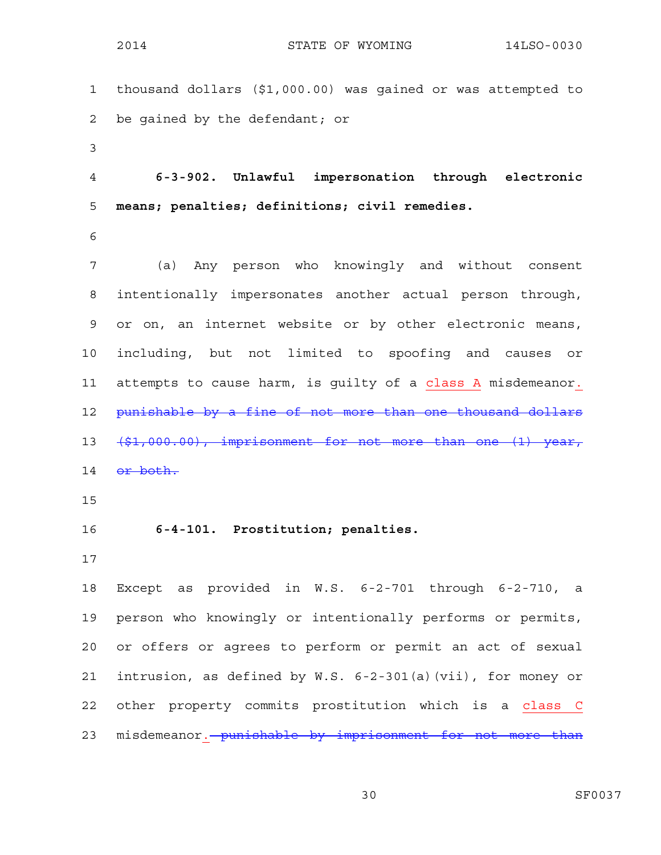1 thousand dollars (\$1,000.00) was gained or was attempted to 2 be gained by the defendant; or 3 4 **6-3-902. Unlawful impersonation through electronic**  5 **means; penalties; definitions; civil remedies.**  6 7 (a) Any person who knowingly and without consent 8 intentionally impersonates another actual person through, 9 or on, an internet website or by other electronic means, 10 including, but not limited to spoofing and causes or 11 attempts to cause harm, is guilty of a class A misdemeanor. 12 punishable by a fine of not more than one thousand dollars 13 (\$1,000.00), imprisonment for not more than one (1) year, 14 or both. 15 16 **6-4-101. Prostitution; penalties.**  17 18 Except as provided in W.S. 6-2-701 through 6-2-710, a 19 person who knowingly or intentionally performs or permits, 20 or offers or agrees to perform or permit an act of sexual 21 intrusion, as defined by W.S. 6-2-301(a)(vii), for money or 22 other property commits prostitution which is a class C 23 misdemeanor. punishable by imprisonment for not more than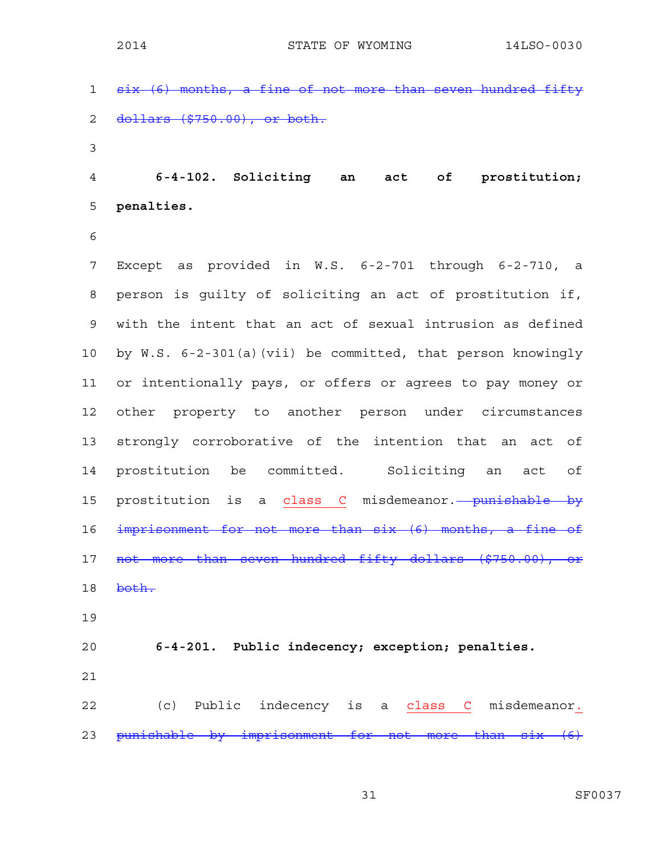1 six (6) months, a fine of not more than seven hundred fifty 2 dollars (\$750.00), or both. 3 4 **6-4-102. Soliciting an act of prostitution;**  5 **penalties.**  6 7 Except as provided in W.S. 6-2-701 through 6-2-710, a 8 person is guilty of soliciting an act of prostitution if, 9 with the intent that an act of sexual intrusion as defined 10 by W.S. 6-2-301(a)(vii) be committed, that person knowingly 11 or intentionally pays, or offers or agrees to pay money or 12 other property to another person under circumstances 13 strongly corroborative of the intention that an act of 14 prostitution be committed. Soliciting an act of 15 prostitution is a class C misdemeanor. punishable by 16 imprisonment for not more than six (6) months, a fine of 17 not more than seven hundred fifty dollars (\$750.00), or 18 both. 19 20 **6-4-201. Public indecency; exception; penalties.**  21 22 (c) Public indecency is a class C misdemeanor. 23 punishable by imprisonment for not more than six (6)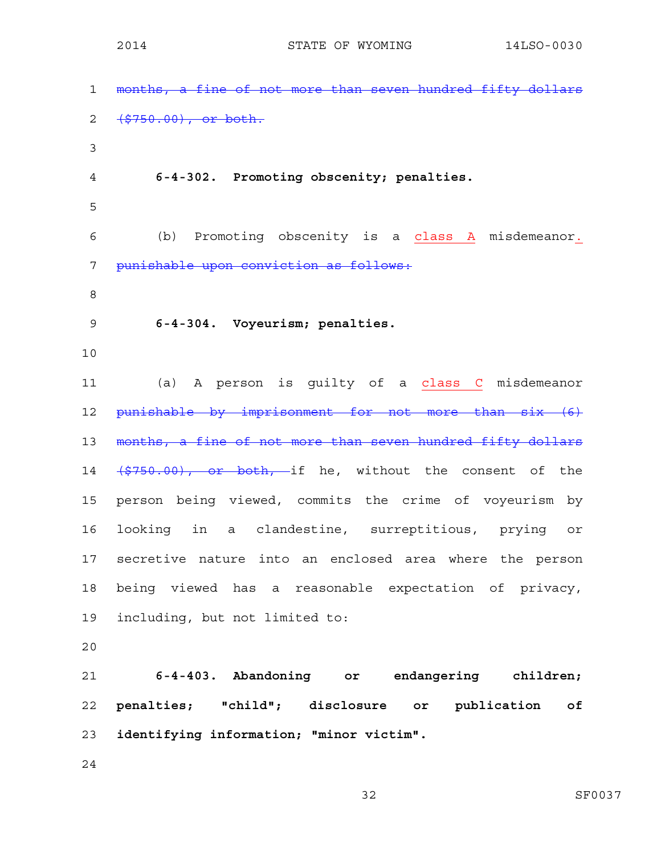| $\mathbf{1}$   | months, a fine of not more than seven hundred fifty dollars |
|----------------|-------------------------------------------------------------|
| $\overline{2}$ | $( $750.00)$ , or both.                                     |
| 3              |                                                             |
| $\overline{4}$ | 6-4-302. Promoting obscenity; penalties.                    |
| 5              |                                                             |
| 6              | (b) Promoting obscenity is a class A misdemeanor.           |
| 7              | punishable upon conviction as follows:                      |
| 8              |                                                             |
| 9              | 6-4-304. Voyeurism; penalties.                              |
| 10             |                                                             |
| 11             | (a) A person is guilty of a class C misdemeanor             |
| 12             | punishable by imprisonment for not more than six (6)        |
| 13             | months, a fine of not more than seven hundred fifty dollars |
| 14             | (\$750.00), or both, if he, without the consent of the      |
| 15             | person being viewed, commits the crime of voyeurism by      |
| 16             | looking in a clandestine, surreptitious, prying or          |
| 17             | secretive nature into an enclosed area where the person     |
| 18             | being viewed has a reasonable expectation of privacy,       |
| 19             | including, but not limited to:                              |
| 20             |                                                             |
| 21             | 6-4-403. Abandoning or endangering children;                |
| 22             | penalties; "child"; disclosure or publication<br>оf         |
| 23             | identifying information; "minor victim".                    |
| 24             |                                                             |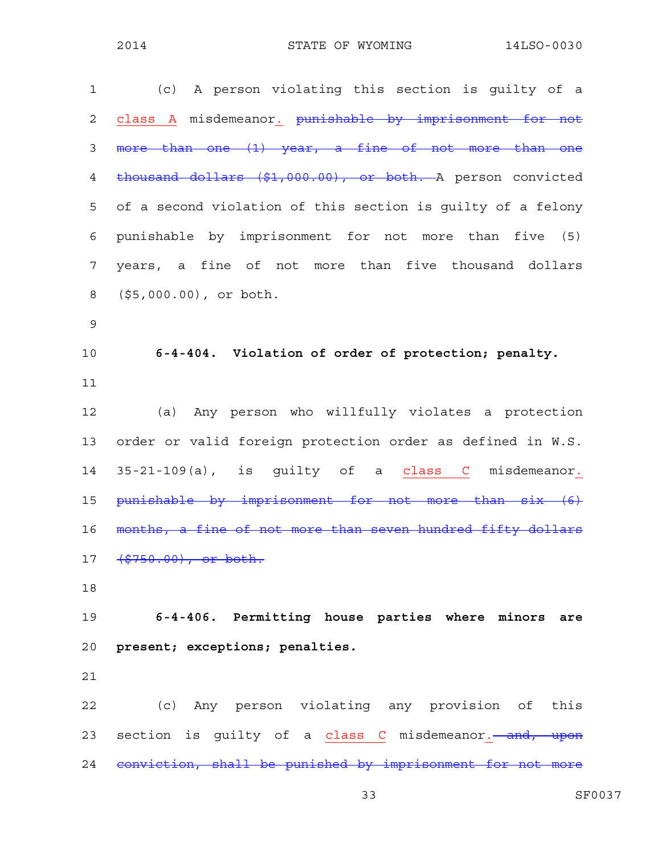| (c) A person violating this section is guilty of a                   |
|----------------------------------------------------------------------|
| class A misdemeanor. punishable by imprisonment for not              |
| more than one (1) year, a fine of not more than one                  |
| thousand dollars (\$1,000.00), or both. A person convicted           |
| of a second violation of this section is guilty of a felony          |
| punishable by imprisonment for not more than five (5)                |
| years, a fine of not more than five thousand dollars                 |
| $(55,000.00)$ , or both.                                             |
|                                                                      |
| 6-4-404. Violation of order of protection; penalty.                  |
|                                                                      |
| (a) Any person who willfully violates a protection                   |
| order or valid foreign protection order as defined in W.S.           |
| 35-21-109(a), is guilty of a class C misdemeanor.                    |
| punishable by imprisonment for not more than six (6)                 |
| months, a fine of not more than seven hundred fifty dollars          |
| 17 (\$750.00), or both.                                              |
|                                                                      |
| 6-4-406. Permitting house parties where minors are                   |
| present; exceptions; penalties.                                      |
|                                                                      |
| (c) Any person violating any provision of this                       |
| 23 section is guilty of a class C misdemeanor. <del> and, upon</del> |
| 24 conviction, shall be punished by imprisonment for not more        |
|                                                                      |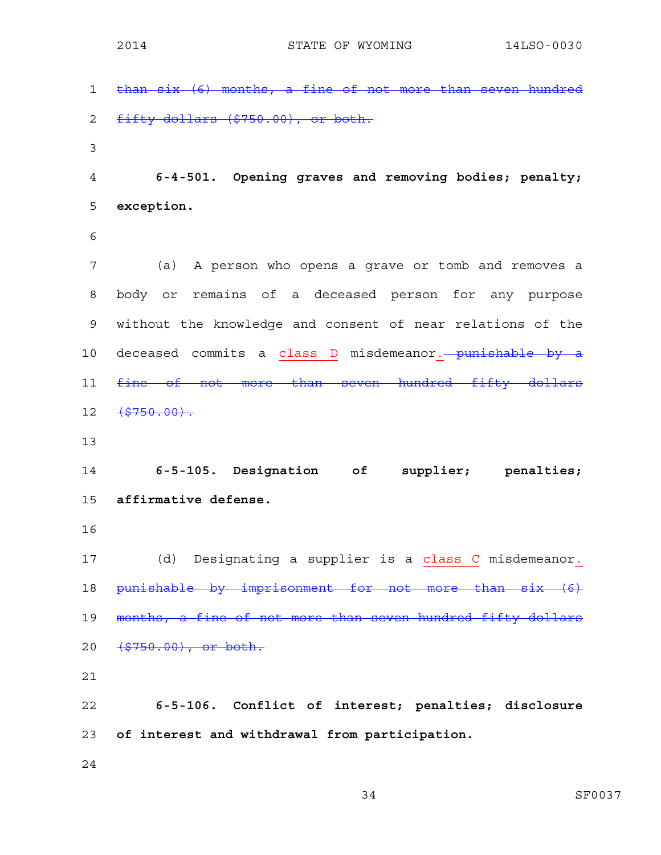1 than six (6) months, a fine of not more than seven hundred 2 fifty dollars (\$750.00), or both. 3 4 **6-4-501. Opening graves and removing bodies; penalty;**  5 **exception.**  6 7 (a) A person who opens a grave or tomb and removes a 8 body or remains of a deceased person for any purpose 9 without the knowledge and consent of near relations of the 10 deceased commits a class D misdemeanor. punishable by a 11 fine of not more than seven hundred fifty dollars  $12 \quad \frac{12}{5750.00}$ . 13 14 **6-5-105. Designation of supplier; penalties;**  15 **affirmative defense.**  16 17 (d) Designating a supplier is a class C misdemeanor. 18 punishable by imprisonment for not more than six (6) 19 months, a fine of not more than seven hundred fifty dollars 20 <del>(\$750.00), or both.</del> 21 22 **6-5-106. Conflict of interest; penalties; disclosure**  23 **of interest and withdrawal from participation.**  24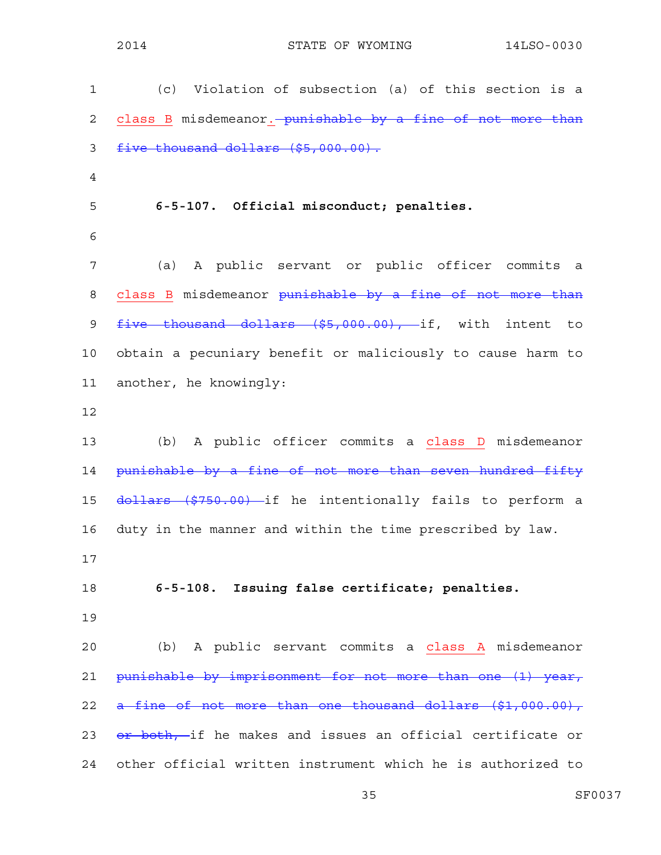1 (c) Violation of subsection (a) of this section is a 2 class B misdemeanor. punishable by a fine of not more than 3 five thousand dollars (\$5,000.00). 4 5 **6-5-107. Official misconduct; penalties.**  6 7 (a) A public servant or public officer commits a 8 class B misdemeanor punishable by a fine of not more than 9 five thousand dollars (\$5,000.00), if, with intent to 10 obtain a pecuniary benefit or maliciously to cause harm to 11 another, he knowingly: 12 13 (b) A public officer commits a class D misdemeanor 14 punishable by a fine of not more than seven hundred fifty 15 dollars (\$750.00) if he intentionally fails to perform a 16 duty in the manner and within the time prescribed by law. 17 18 **6-5-108. Issuing false certificate; penalties.**  19 20 (b) A public servant commits a class A misdemeanor 21 punishable by imprisonment for not more than one (1) year, 22 a fine of not more than one thousand dollars (\$1,000.00), 23 <del>or both, i</del>f he makes and issues an official certificate or 24 other official written instrument which he is authorized to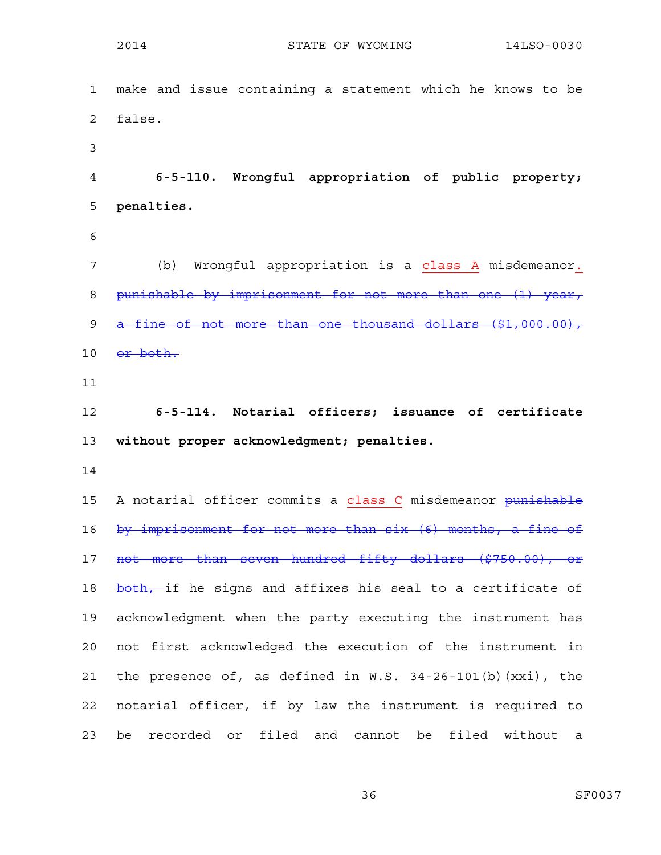1 make and issue containing a statement which he knows to be 2 false. 3 4 **6-5-110. Wrongful appropriation of public property;**  5 **penalties.**  6 7 (b) Wrongful appropriation is a class A misdemeanor. 8 punishable by imprisonment for not more than one (1) year, 9 a fine of not more than one thousand dollars (\$1,000.00), 10 <del>or both.</del> 11 12 **6-5-114. Notarial officers; issuance of certificate**  13 **without proper acknowledgment; penalties.**  14 15 A notarial officer commits a class C misdemeanor punishable 16 by imprisonment for not more than six (6) months, a fine of 17 not more than seven hundred fifty dollars (\$750.00), or 18 both, if he signs and affixes his seal to a certificate of 19 acknowledgment when the party executing the instrument has 20 not first acknowledged the execution of the instrument in 21 the presence of, as defined in W.S. 34-26-101(b)(xxi), the 22 notarial officer, if by law the instrument is required to 23 be recorded or filed and cannot be filed without a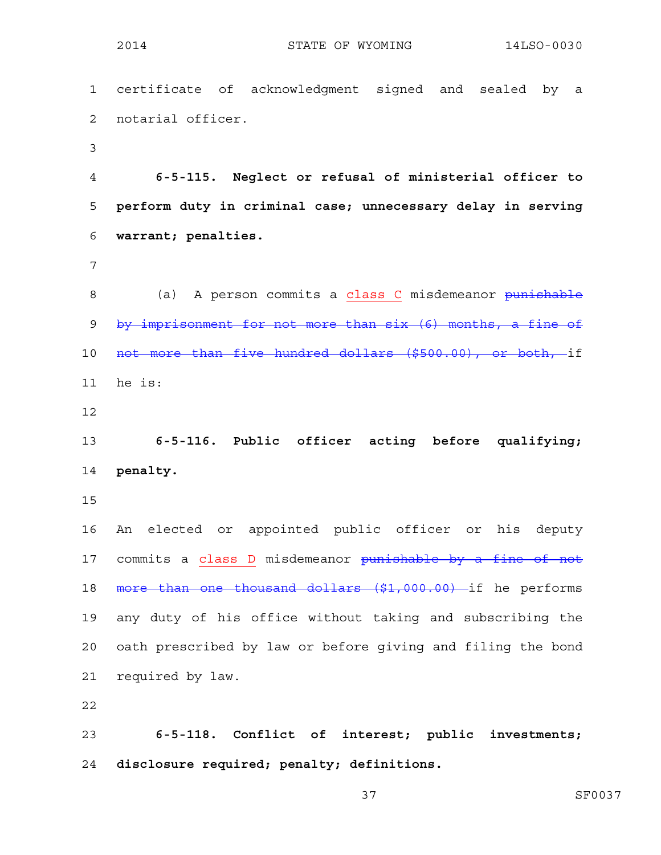1 certificate of acknowledgment signed and sealed by a 2 notarial officer. 3 4 **6-5-115. Neglect or refusal of ministerial officer to**  5 **perform duty in criminal case; unnecessary delay in serving**  6 **warrant; penalties.**  7 8 (a) A person commits a class C misdemeanor punishable 9 by imprisonment for not more than six (6) months, a fine of 10 not more than five hundred dollars (\$500.00), or both, if 11 he is: 12 13 **6-5-116. Public officer acting before qualifying;**  14 **penalty.**  15 16 An elected or appointed public officer or his deputy 17 commits a class D misdemeanor punishable by a fine of not 18 more than one thousand dollars (\$1,000.00) if he performs 19 any duty of his office without taking and subscribing the 20 oath prescribed by law or before giving and filing the bond 21 required by law. 22 23 **6-5-118. Conflict of interest; public investments;**  24 **disclosure required; penalty; definitions.**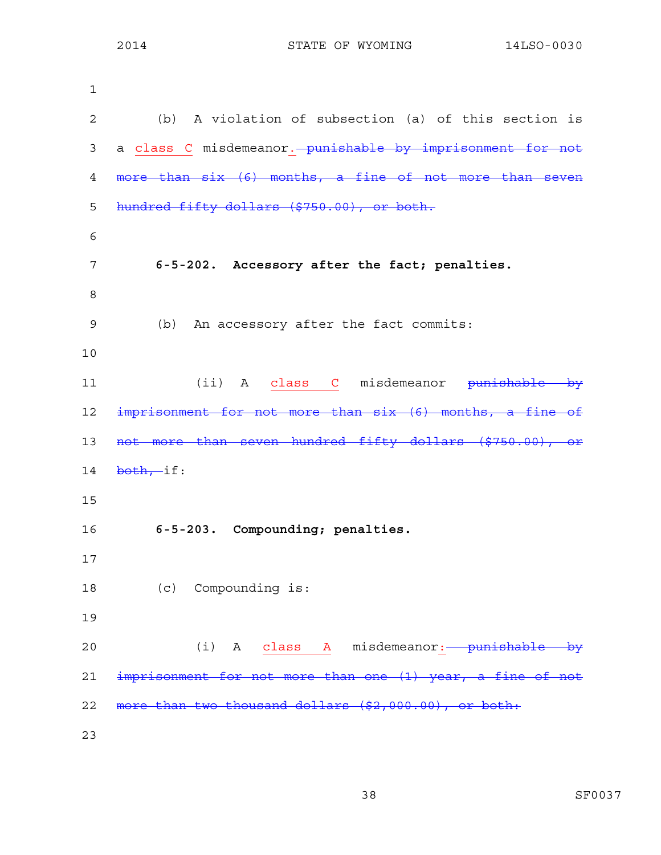| 1              |                                                            |
|----------------|------------------------------------------------------------|
| $\overline{2}$ | (b) A violation of subsection (a) of this section is       |
| 3              | a class C misdemeanor. punishable by imprisonment for not  |
| 4              | more than six (6) months, a fine of not more than seven    |
| 5              | hundred fifty dollars (\$750.00), or both.                 |
| 6              |                                                            |
| 7              | 6-5-202. Accessory after the fact; penalties.              |
| 8              |                                                            |
| 9              | (b) An accessory after the fact commits:                   |
| 10             |                                                            |
| 11             | (ii) A class C misdemeanor <del>punishable by</del>        |
| 12             | imprisonment for not more than six (6) months, a fine of   |
| 13             | not more than seven hundred fifty dollars (\$750.00), or   |
| 14             | $both, if$ :                                               |
| 15             |                                                            |
| 16             | 6-5-203. Compounding; penalties.                           |
| 17             |                                                            |
| 18             | (c) Compounding is:                                        |
| 19             |                                                            |
| 20             | (i) A class A misdemeanor:-- punishable by                 |
| 21             | imprisonment for not more than one (1) year, a fine of not |
| 22             | more than two thousand dollars (\$2,000.00), or both:      |
| 23             |                                                            |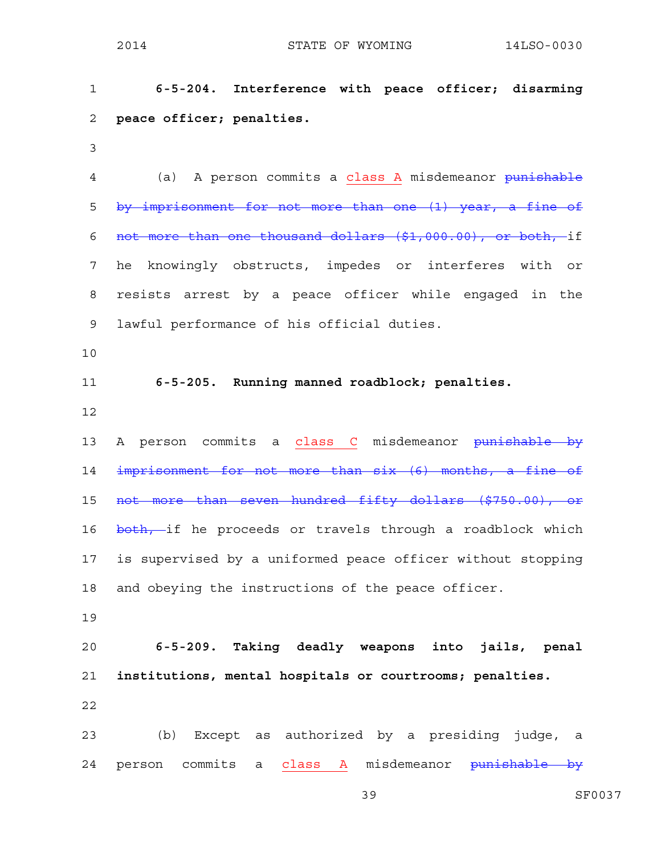1 **6-5-204. Interference with peace officer; disarming**  2 **peace officer; penalties.**  3 4 (a) A person commits a class A misdemeanor punishable 5 by imprisonment for not more than one (1) year, a fine of 6 not more than one thousand dollars (\$1,000.00), or both, if 7 he knowingly obstructs, impedes or interferes with or 8 resists arrest by a peace officer while engaged in the 9 lawful performance of his official duties. 10 11 **6-5-205. Running manned roadblock; penalties.**  12 13 A person commits a class C misdemeanor punishable by 14 imprisonment for not more than six (6) months, a fine of 15 not more than seven hundred fifty dollars (\$750.00), or 16 both, if he proceeds or travels through a roadblock which 17 is supervised by a uniformed peace officer without stopping 18 and obeying the instructions of the peace officer. 19 20 **6-5-209. Taking deadly weapons into jails, penal**  21 **institutions, mental hospitals or courtrooms; penalties.**  22 23 (b) Except as authorized by a presiding judge, a 24 person commits a class A misdemeanor <del>punishable by</del>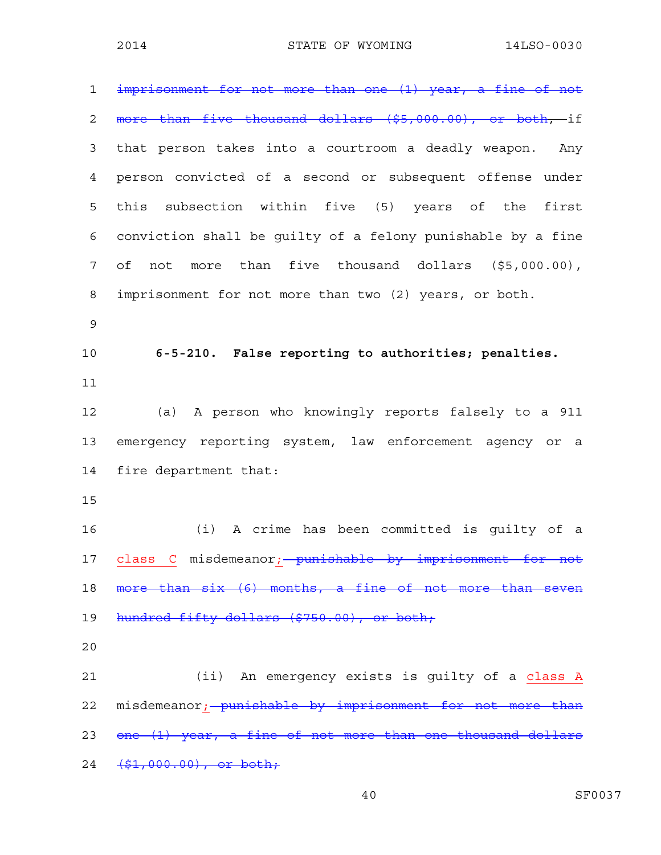1 imprisonment for not more than one (1) year, a fine of not 2 more than five thousand dollars (\$5,000.00), or both, if 3 that person takes into a courtroom a deadly weapon. Any 4 person convicted of a second or subsequent offense under 5 this subsection within five (5) years of the first 6 conviction shall be guilty of a felony punishable by a fine 7 of not more than five thousand dollars (\$5,000.00), 8 imprisonment for not more than two (2) years, or both. 9 10 **6-5-210. False reporting to authorities; penalties.**  11 12 (a) A person who knowingly reports falsely to a 911 13 emergency reporting system, law enforcement agency or a 14 fire department that: 15 16 (i) A crime has been committed is guilty of a 17 class C misdemeanor; punishable by imprisonment for not 18 more than six (6) months, a fine of not more than seven 19 hundred fifty dollars (\$750.00), or both; 20 21 (ii) An emergency exists is guilty of a class A 22 misdemeanor; punishable by imprisonment for not more than 23 one (1) year, a fine of not more than one thousand dollars 24 <del>(\$1,000.00), or both;</del>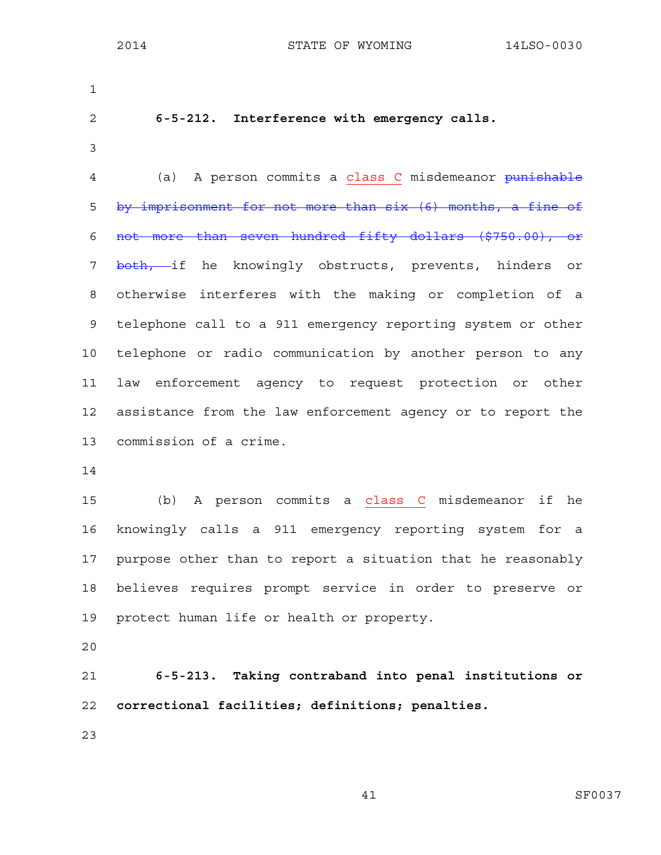| $\mathbf 1$    |                                                             |
|----------------|-------------------------------------------------------------|
| $\overline{c}$ | 6-5-212. Interference with emergency calls.                 |
| 3              |                                                             |
| 4              | (a) A person commits a class C misdemeanor punishable       |
| 5              | by imprisonment for not more than six (6) months, a fine of |
| 6              | not more than seven hundred fifty dollars (\$750.00), or    |
| 7              | both, if he knowingly obstructs, prevents, hinders or       |
| 8              | otherwise interferes with the making or completion of a     |
| 9              | telephone call to a 911 emergency reporting system or other |
| 10             | telephone or radio communication by another person to any   |
| 11             | law enforcement agency to request protection or other       |
| 12             | assistance from the law enforcement agency or to report the |
| 13             | commission of a crime.                                      |
| 14             |                                                             |
| 15             | (b) A person commits a class C misdemeanor<br>if<br>he      |
| 16             | knowingly calls a 911 emergency reporting system<br>for a   |
| 17             | purpose other than to report a situation that he reasonably |
| 18             | believes requires prompt service in order to preserve or    |
| 19             | protect human life or health or property.                   |
| 20             |                                                             |
| 21             | $6-5-213$ Taking contraband into penal institutions or      |

21 **6-5-213. Taking contraband into penal institutions or**  22 **correctional facilities; definitions; penalties.** 

23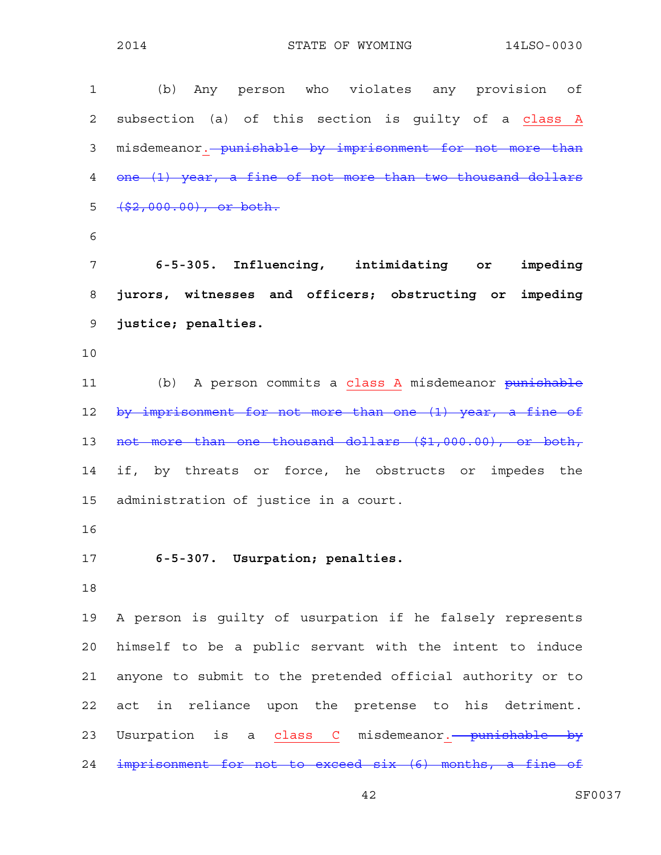| $\mathbf 1$ | (b) Any person who violates any provision of               |
|-------------|------------------------------------------------------------|
| 2           | subsection (a) of this section is guilty of a class A      |
| 3           | misdemeanor. punishable by imprisonment for not more than  |
| 4           | one (1) year, a fine of not more than two thousand dollars |
| 5           | $( $2,000.00)$ , or both.                                  |
| 6           |                                                            |
| 7           | 6-5-305. Influencing, intimidating or<br>impeding          |
| 8           | jurors, witnesses and officers; obstructing or impeding    |
| 9           | justice; penalties.                                        |
| 10          |                                                            |
| 11          | (b) A person commits a class A misdemeanor punishable      |
| 12          | by imprisonment for not more than one (1) year, a fine of  |
| 13          | not more than one thousand dollars (\$1,000.00), or both,  |
| 14          | if, by threats or force, he obstructs or impedes the       |
| 15          | administration of justice in a court.                      |
| 16          |                                                            |
| 17          | 6-5-307. Usurpation; penalties.                            |
| 18          |                                                            |
| 19          | A person is guilty of usurpation if he falsely represents  |
| 20          | himself to be a public servant with the intent to induce   |
| 21          | anyone to submit to the pretended official authority or to |
| 22          | act in reliance upon the pretense to his detriment.        |
| 23          | Usurpation is a class C misdemeanor. punishable by         |
| 24          | imprisonment for not to exceed six (6) months, a fine of   |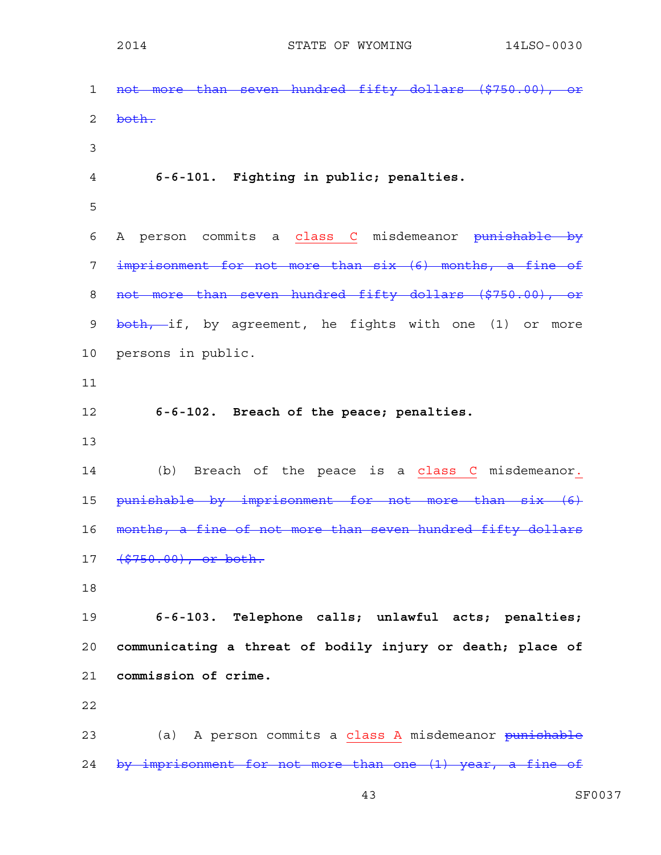1 not more than seven hundred fifty dollars (\$750.00), or 2 both. 3 4 **6-6-101. Fighting in public; penalties.**  5 6 A person commits a class C misdemeanor punishable by 7 imprisonment for not more than six (6) months, a fine of 8 not more than seven hundred fifty dollars (\$750.00), or 9 both, if, by agreement, he fights with one (1) or more 10 persons in public. 11 12 **6-6-102. Breach of the peace; penalties.**  13 14 (b) Breach of the peace is a class C misdemeanor. 15 punishable by imprisonment for not more than six (6) 16 months, a fine of not more than seven hundred fifty dollars 17 (\$750.00), or both. 18 19 **6-6-103. Telephone calls; unlawful acts; penalties;**  20 **communicating a threat of bodily injury or death; place of**  21 **commission of crime.**  22 23 (a) A person commits a class A misdemeanor <del>punishable</del> 24 by imprisonment for not more than one (1) year, a fine of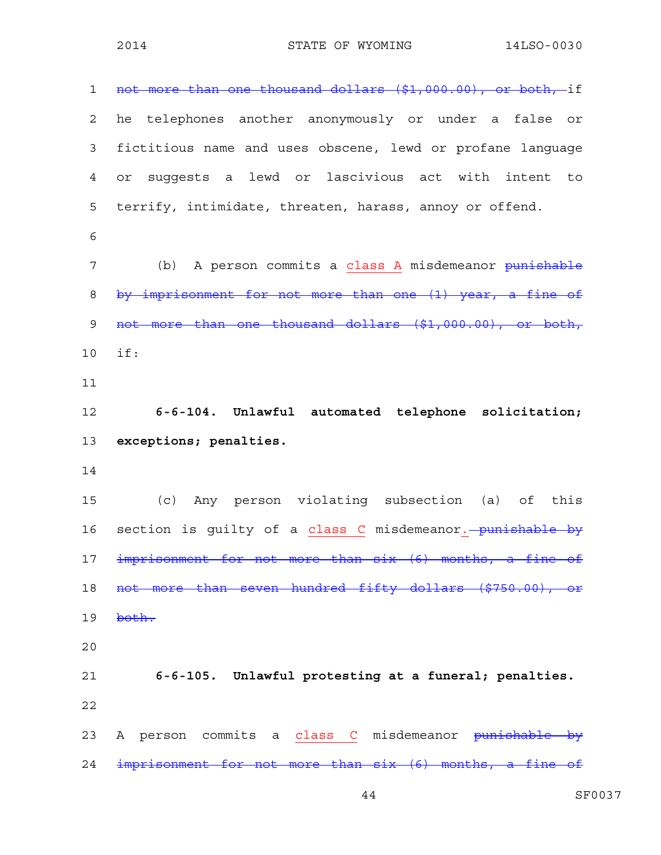| $\mathbf 1$    | not more than one thousand dollars (\$1,000.00), or both, if |
|----------------|--------------------------------------------------------------|
| $\overline{2}$ | he telephones another anonymously or under a false or        |
| 3              | fictitious name and uses obscene, lewd or profane language   |
| 4              | suggests a lewd or lascivious act with intent to<br>or       |
| 5              | terrify, intimidate, threaten, harass, annoy or offend.      |
| 6              |                                                              |
| 7              | (b) A person commits a class A misdemeanor punishable        |
| 8              | by imprisonment for not more than one (1) year, a fine of    |
| 9              | not more than one thousand dollars (\$1,000.00), or both,    |
| 10             | if:                                                          |
| 11             |                                                              |
| 12             | 6-6-104. Unlawful automated telephone solicitation;          |
|                |                                                              |
| 13             | exceptions; penalties.                                       |
|                |                                                              |
| 14<br>15       | (c) Any person violating subsection (a) of this              |
| 16             | section is guilty of a class C misdemeanor. - punishable by  |
| 17             | imprisonment for not more than six (6) months, a fine<br>⊖£  |
| 18             | not more than seven hundred fifty dollars (\$750.00), or     |
| 19             | both.                                                        |
| 20             |                                                              |
| 21             | 6-6-105. Unlawful protesting at a funeral; penalties.        |
| 22             |                                                              |
| 23             | A person commits a class C misdemeanor punishable by         |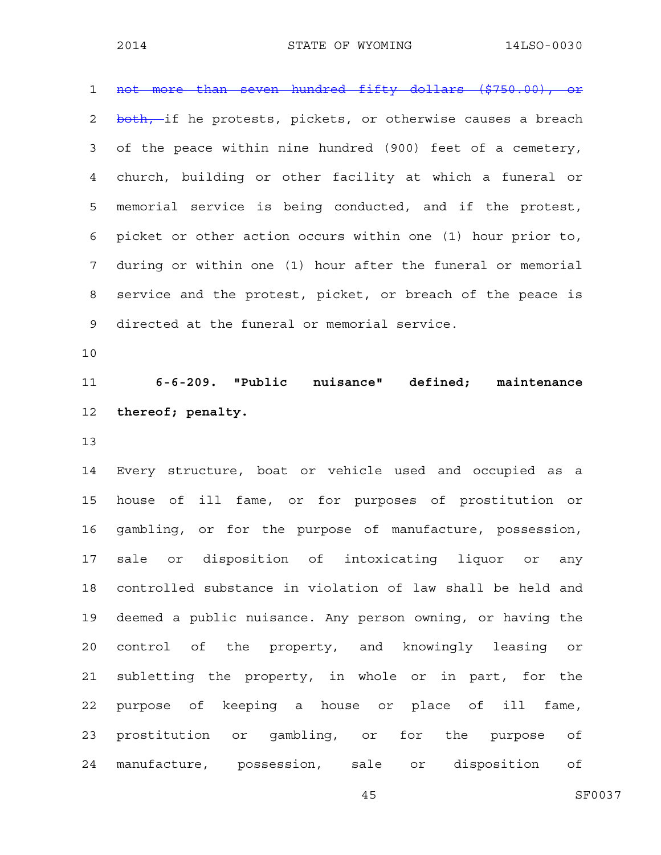1 not more than seven hundred fifty dollars (\$750.00), or 2 both, if he protests, pickets, or otherwise causes a breach 3 of the peace within nine hundred (900) feet of a cemetery, 4 church, building or other facility at which a funeral or 5 memorial service is being conducted, and if the protest, 6 picket or other action occurs within one (1) hour prior to, 7 during or within one (1) hour after the funeral or memorial 8 service and the protest, picket, or breach of the peace is 9 directed at the funeral or memorial service.

10

11 **6-6-209. "Public nuisance" defined; maintenance**  12 **thereof; penalty.** 

13

14 Every structure, boat or vehicle used and occupied as a 15 house of ill fame, or for purposes of prostitution or 16 gambling, or for the purpose of manufacture, possession, 17 sale or disposition of intoxicating liquor or any 18 controlled substance in violation of law shall be held and 19 deemed a public nuisance. Any person owning, or having the 20 control of the property, and knowingly leasing or 21 subletting the property, in whole or in part, for the 22 purpose of keeping a house or place of ill fame, 23 prostitution or gambling, or for the purpose of 24 manufacture, possession, sale or disposition of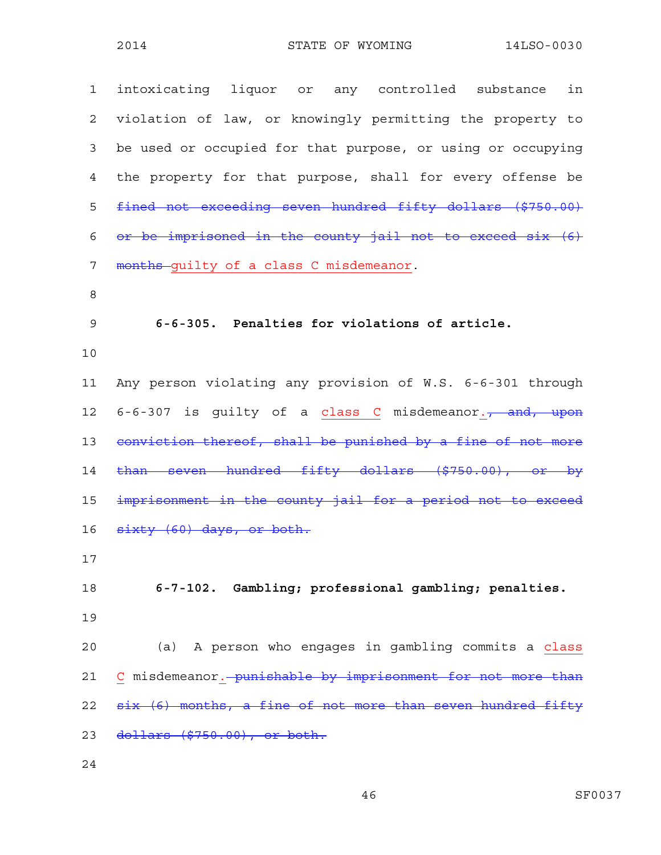| intoxicating liquor or any controlled substance<br>in         |
|---------------------------------------------------------------|
| violation of law, or knowingly permitting the property to     |
| be used or occupied for that purpose, or using or occupying   |
| the property for that purpose, shall for every offense be     |
| fined not exceeding seven hundred fifty dollars (\$750.00)    |
| or be imprisoned in the county jail not to exceed six (6)     |
| months-guilty of a class C misdemeanor.                       |
|                                                               |
| 6-6-305. Penalties for violations of article.                 |
|                                                               |
| Any person violating any provision of W.S. 6-6-301 through    |
| 6-6-307 is guilty of a class C misdemeanor., and, upon        |
| conviction thereof, shall be punished by a fine of not more   |
| than seven hundred fifty dollars (\$750.00), or by            |
| imprisonment in the county jail for a period not to exceed    |
| sixty (60) days, or both.                                     |
|                                                               |
| 6-7-102. Gambling; professional gambling; penalties.          |
|                                                               |
| (a) A person who engages in gambling commits a class          |
| C misdemeanor. - punishable by imprisonment for not more than |
| six (6) months, a fine of not more than seven hundred fifty   |
| dollars (\$750.00), or both.                                  |
|                                                               |

24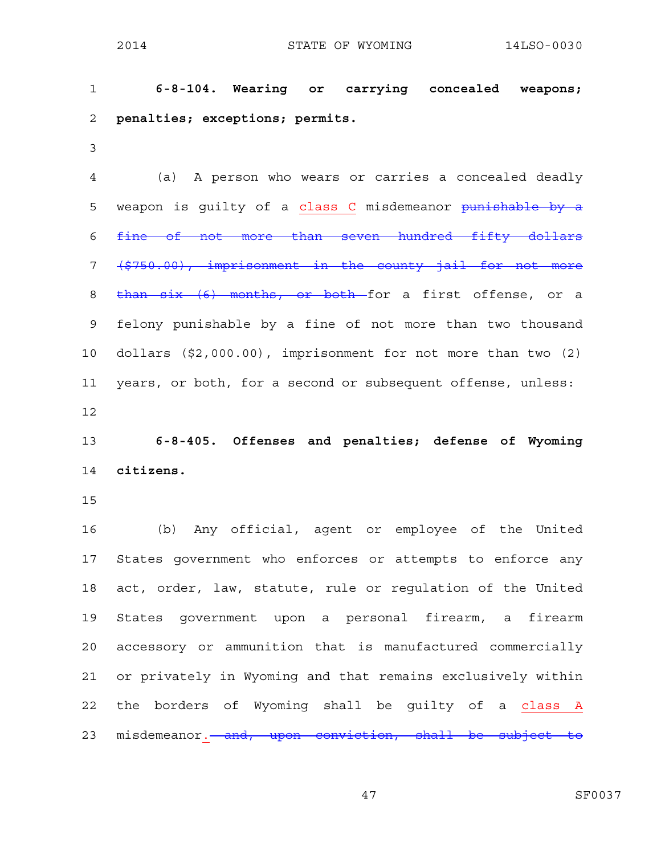1 **6-8-104. Wearing or carrying concealed weapons;**  2 **penalties; exceptions; permits.**  3 4 (a) A person who wears or carries a concealed deadly 5 weapon is quilty of a class C misdemeanor punishable by a 6 fine of not more than seven hundred fifty dollars 7 (\$750.00), imprisonment in the county jail for not more 8 than six (6) months, or both for a first offense, or a 9 felony punishable by a fine of not more than two thousand 10 dollars (\$2,000.00), imprisonment for not more than two (2) 11 years, or both, for a second or subsequent offense, unless: 12 13 **6-8-405. Offenses and penalties; defense of Wyoming**  14 **citizens.**  15 16 (b) Any official, agent or employee of the United 17 States government who enforces or attempts to enforce any 18 act, order, law, statute, rule or regulation of the United 19 States government upon a personal firearm, a firearm 20 accessory or ammunition that is manufactured commercially 21 or privately in Wyoming and that remains exclusively within 22 the borders of Wyoming shall be guilty of a class A 23 misdemeanor. and, upon conviction, shall be subject to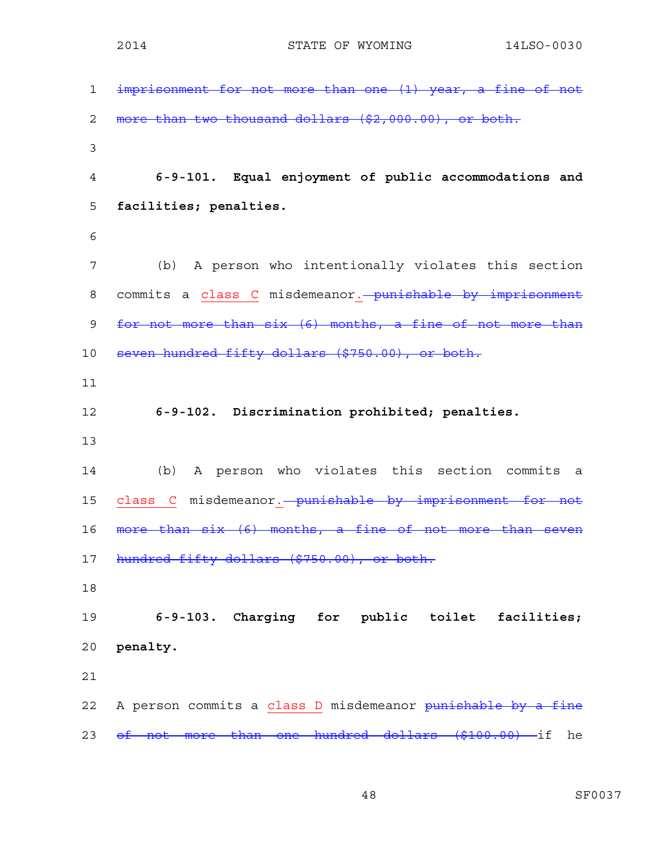| $\mathbf{1}$   | imprisonment for not more than one (1) year, a fine of not  |
|----------------|-------------------------------------------------------------|
| $\mathbf{2}$   | more than two thousand dollars (\$2,000.00), or both.       |
| $\mathfrak{Z}$ |                                                             |
| $\overline{4}$ | 6-9-101. Equal enjoyment of public accommodations and       |
| 5              | facilities; penalties.                                      |
| 6              |                                                             |
| 7              | (b) A person who intentionally violates this section        |
| 8              | commits a class C misdemeanor. punishable by imprisonment   |
| $\mathsf 9$    | for not more than six (6) months, a fine of not more than   |
| 10             | seven hundred fifty dollars (\$750.00), or both.            |
| 11             |                                                             |
| 12             | 6-9-102. Discrimination prohibited; penalties.              |
| 13             |                                                             |
| 14             | A person who violates this section commits<br>(b)<br>a      |
| 15             | class C misdemeanor. - punishable by imprisonment for not   |
| 16             | more than six (6) months, a fine of not more than seven     |
| 17             | hundred fifty dollars (\$750.00), or both.                  |
| 18             |                                                             |
| 19             | 6-9-103. Charging for public toilet<br>facilities;          |
| 20             | penalty.                                                    |
| 21             |                                                             |
| 22             | A person commits a class D misdemeanor punishable by a fine |
| 23             | of not more than one hundred dollars (\$100.00) if<br>he    |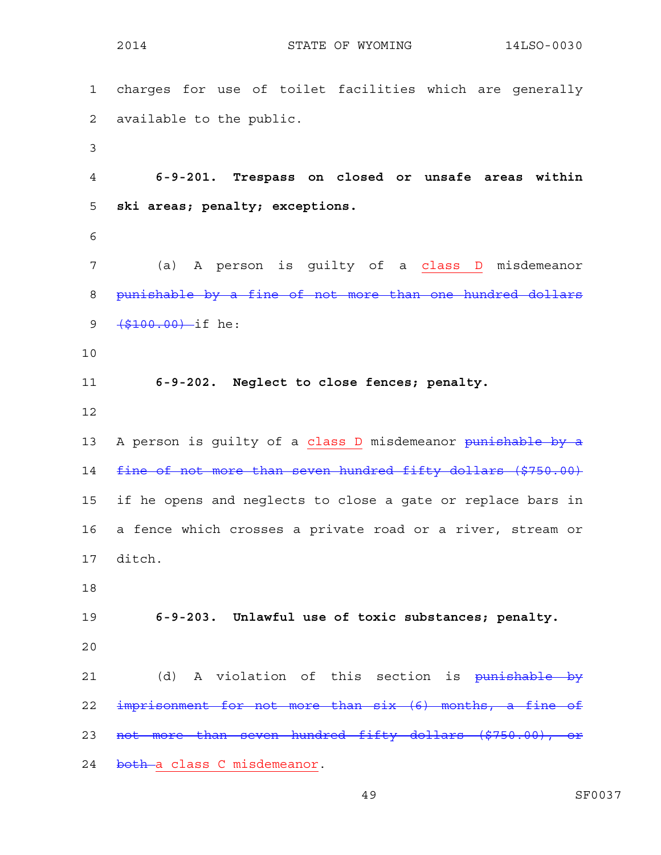|             | 2014<br>STATE OF WYOMING<br>14LSO-0030                       |
|-------------|--------------------------------------------------------------|
| $\mathbf 1$ | charges for use of toilet facilities which are generally     |
| 2           | available to the public.                                     |
| 3           |                                                              |
| 4           | 6-9-201. Trespass on closed or unsafe areas within           |
| 5           | ski areas; penalty; exceptions.                              |
| 6           |                                                              |
| 7           | (a) A person is guilty of a class D misdemeanor              |
| 8           | punishable by a fine of not more than one hundred dollars    |
| 9           | $($ \$100.00) -if he:                                        |
| 10          |                                                              |
| 11          | 6-9-202. Neglect to close fences; penalty.                   |
| 12          |                                                              |
| 13          | A person is guilty of a class D misdemeanor punishable by a  |
| 14          | fine of not more than seven hundred fifty dollars (\$750.00) |
| 15          | if he opens and neglects to close a gate or replace bars in  |
| 16          | a fence which crosses a private road or a river, stream or   |
| 17          | ditch.                                                       |
| 18          |                                                              |
| 19          | 6-9-203. Unlawful use of toxic substances; penalty.          |
| 20          |                                                              |
| 21          | (d) A violation of this section is punishable by             |
| 22          | imprisonment for not more than six (6) months, a fine of     |
| 23          | not more than seven hundred fifty dollars (\$750.00), or     |
| 24          | both a class C misdemeanor.                                  |